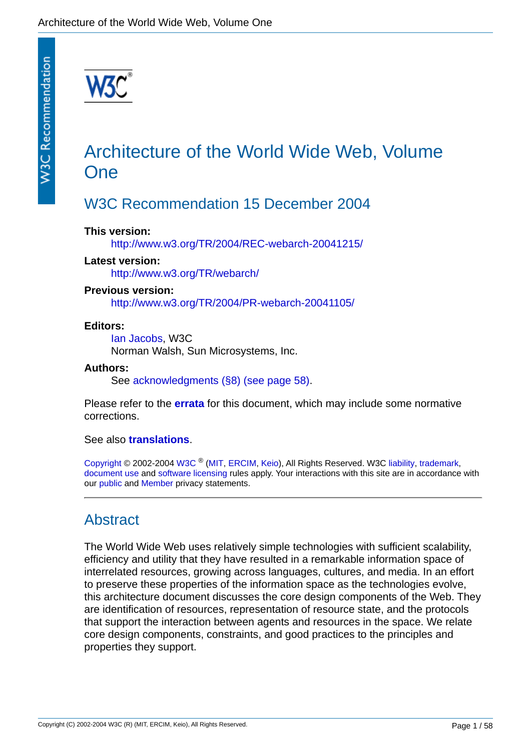# Architecture of the World Wide Web, Volume **One**

# W3C Recommendation 15 December 2004

### **This version:**

<http://www.w3.org/TR/2004/REC-webarch-20041215/>

### **Latest version:**

<http://www.w3.org/TR/webarch/>

### **Previous version:**

<http://www.w3.org/TR/2004/PR-webarch-20041105/>

### **Editors:**

[Ian Jacobs,](http://www.w3.org/People/Jacobs) W3C Norman Walsh, Sun Microsystems, Inc.

### **Authors:**

See [acknowledgments \(§8\) \(see page 58\)](#page-57-0).

Please refer to the **[errata](http://www.w3.org/2001/tag/webarch/errata.html)** for this document, which may include some normative corrections.

### See also **[translations](http://www.w3.org/2003/03/Translations/byTechnology?technology=webarch)**.

[Copyright](http://www.w3.org/Consortium/Legal/ipr-notice#Copyright) © 2002-2004 [W3C](http://www.w3.org/) ® ([MIT,](http://www.lcs.mit.edu/) [ERCIM,](http://www.ercim.org/) [Keio](http://www.keio.ac.jp/)), All Rights Reserved. W3C [liability](http://www.w3.org/Consortium/Legal/ipr-notice#Legal_Disclaimer), [trademark](http://www.w3.org/Consortium/Legal/ipr-notice#W3C_Trademarks), [document use](http://www.w3.org/Consortium/Legal/copyright-documents) and [software licensing](http://www.w3.org/Consortium/Legal/copyright-software) rules apply. Your interactions with this site are in accordance with our [public](http://www.w3.org/Consortium/Legal/privacy-statement#Public) and [Member](http://www.w3.org/Consortium/Legal/privacy-statement#Members) privacy statements.

# Abstract

The World Wide Web uses relatively simple technologies with sufficient scalability, efficiency and utility that they have resulted in a remarkable information space of interrelated resources, growing across languages, cultures, and media. In an effort to preserve these properties of the information space as the technologies evolve, this architecture document discusses the core design components of the Web. They are identification of resources, representation of resource state, and the protocols that support the interaction between agents and resources in the space. We relate core design components, constraints, and good practices to the principles and properties they support.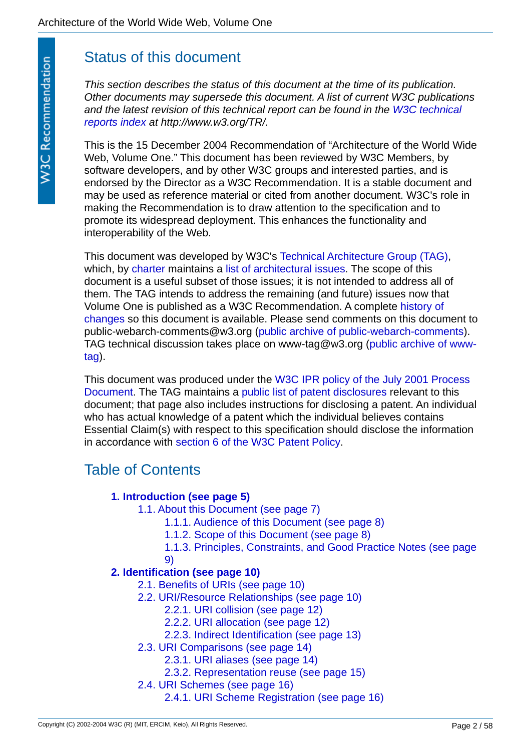# Status of this document

*This section describes the status of this document at the time of its publication. Other documents may supersede this document. A list of current W3C publications [and the latest revision of this technical report can be found in the W3C technical](http://www.w3.org/TR/)  reports index at http://www.w3.org/TR/.*

This is the 15 December 2004 Recommendation of "Architecture of the World Wide Web, Volume One." This document has been reviewed by W3C Members, by software developers, and by other W3C groups and interested parties, and is endorsed by the Director as a W3C Recommendation. It is a stable document and may be used as reference material or cited from another document. W3C's role in making the Recommendation is to draw attention to the specification and to promote its widespread deployment. This enhances the functionality and interoperability of the Web.

This document was developed by W3C's [Technical Architecture Group \(TAG\)](http://www.w3.org/2001/tag/), which, by [charter](http://www.w3.org/2001/07/19-tag) maintains a [list of architectural issues](http://www.w3.org/2001/tag/issues.html). The scope of this document is a useful subset of those issues; it is not intended to address all of them. The TAG intends to address the remaining (and future) issues now that [Volume One is published as a W3C Recommendation. A complete history of](http://www.w3.org/2001/tag/webarch/changes.html)  changes so this document is available. Please send comments on this document to public-webarch-comments@w3.org [\(public archive of public-webarch-comments](http://lists.w3.org/Archives/Public/public-webarch-comments/)). [TAG technical discussion takes place on www-tag@w3.org \(public archive of www](http://lists.w3.org/Archives/Public/public-webarch-comments/)tag).

[This document was produced under the W3C IPR policy of the July 2001 Process](http://www.w3.org/Consortium/Process-20010719/policies#ipr)  Document. The TAG maintains a [public list of patent disclosures](http://www.w3.org/2001/tag/disclosures) relevant to this document; that page also includes instructions for disclosing a patent. An individual who has actual knowledge of a patent which the individual believes contains Essential Claim(s) with respect to this specification should disclose the information in accordance with [section 6 of the W3C Patent Policy.](http://www.w3.org/Consortium/Patent-Policy-20040205/#sec-Disclosure)

# Table of Contents

## **[1. Introduction \(see page 5\)](#page-4-0)**

[1.1. About this Document \(see page 7\)](#page-6-0)

[1.1.1. Audience of this Document \(see page 8\)](#page-7-0)

[1.1.2. Scope of this Document \(see page 8\)](#page-7-1)

[1.1.3. Principles, Constraints, and Good Practice Notes \(see page](#page-8-0)  9)

## **[2. Identification \(see page 10\)](#page-9-0)**

- [2.1. Benefits of URIs \(see page 10\)](#page-9-1)
- [2.2. URI/Resource Relationships \(see page 10\)](#page-9-2)
	- [2.2.1. URI collision \(see page 12\)](#page-11-0)
	- [2.2.2. URI allocation \(see page 12\)](#page-11-1)
	- [2.2.3. Indirect Identification \(see page 13\)](#page-12-0)
- [2.3. URI Comparisons \(see page 14\)](#page-13-0)
	- [2.3.1. URI aliases \(see page 14\)](#page-13-1)
	- [2.3.2. Representation reuse \(see page 15\)](#page-14-0)
- [2.4. URI Schemes \(see page 16\)](#page-15-0)
	- [2.4.1. URI Scheme Registration \(see page 16\)](#page-15-1)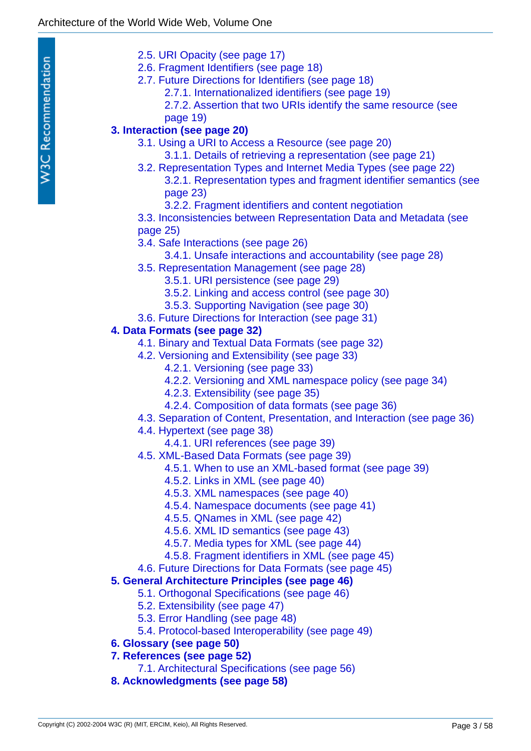- [2.5. URI Opacity \(see page 17\)](#page-16-0)
- [2.6. Fragment Identifiers \(see page 18\)](#page-17-0)
- [2.7. Future Directions for Identifiers \(see page 18\)](#page-17-1)
	- [2.7.1. Internationalized identifiers \(see page 19\)](#page-18-0)
	- [2.7.2. Assertion that two URIs identify the same resource \(see](#page-18-1)  page 19)
- **[3. Interaction \(see page 20\)](#page-19-0)**
	- [3.1. Using a URI to Access a Resource \(see page 20\)](#page-19-1)
		- [3.1.1. Details of retrieving a representation \(see page 21\)](#page-20-0)
	- [3.2. Representation Types and Internet Media Types \(see page 22\)](#page-21-0) [3.2.1. Representation types and fragment identifier semantics \(see](#page-22-0)  page 23)
		- [3.2.2. Fragment identifiers and content negotiation](#page-23-0)
	- [3.3. Inconsistencies between Representation Data and Metadata \(see](#page-24-0)  page 25)
	- [3.4. Safe Interactions \(see page 26\)](#page-25-0)
		- [3.4.1. Unsafe interactions and accountability \(see page 28\)](#page-27-0)
	- [3.5. Representation Management \(see page 28\)](#page-27-1)
		- [3.5.1. URI persistence \(see page 29\)](#page-28-0)
		- [3.5.2. Linking and access control \(see page 30\)](#page-29-0)
		- [3.5.3. Supporting Navigation \(see page 30\)](#page-29-1)
	- [3.6. Future Directions for Interaction \(see page 31\)](#page-30-0)

### **[4. Data Formats \(see page 32\)](#page-31-0)**

- [4.1. Binary and Textual Data Formats \(see page 32\)](#page-31-1)
- [4.2. Versioning and Extensibility \(see page 33\)](#page-32-0)
	- [4.2.1. Versioning \(see page 33\)](#page-32-1)
	- [4.2.2. Versioning and XML namespace policy \(see page 34\)](#page-33-0)
	- [4.2.3. Extensibility \(see page 35\)](#page-34-0)
	- [4.2.4. Composition of data formats \(see page 36\)](#page-35-0)
- [4.3. Separation of Content, Presentation, and Interaction \(see page 36\)](#page-35-1)
- [4.4. Hypertext \(see page 38\)](#page-37-0)
	- [4.4.1. URI references \(see page 39\)](#page-38-0)
- [4.5. XML-Based Data Formats \(see page 39\)](#page-38-1)
	- [4.5.1. When to use an XML-based format \(see page 39\)](#page-38-2)
	- [4.5.2. Links in XML \(see page 40\)](#page-39-0)
	- [4.5.3. XML namespaces \(see page 40\)](#page-39-1)
	- [4.5.4. Namespace documents \(see page 41\)](#page-40-0)
	- [4.5.5. QNames in XML \(see page 42\)](#page-41-0)
	- [4.5.6. XML ID semantics \(see page 43\)](#page-42-0)
	- [4.5.7. Media types for XML \(see page 44\)](#page-43-0)
	- [4.5.8. Fragment identifiers in XML \(see page 45\)](#page-44-0)
- [4.6. Future Directions for Data Formats \(see page 45\)](#page-44-1)

## **[5. General Architecture Principles \(see page 46\)](#page-45-0)**

- [5.1. Orthogonal Specifications \(see page 46\)](#page-45-1)
- [5.2. Extensibility \(see page 47\)](#page-46-0)
- [5.3. Error Handling \(see page 48\)](#page-47-0)
- [5.4. Protocol-based Interoperability \(see page 49\)](#page-48-0)

## **[6. Glossary \(see page 50\)](#page-49-0)**

- **[7. References \(see page 52\)](#page-51-0)**
	- [7.1. Architectural Specifications \(see page 56\)](#page-55-0)
- **[8. Acknowledgments \(see page 58\)](#page-57-0)**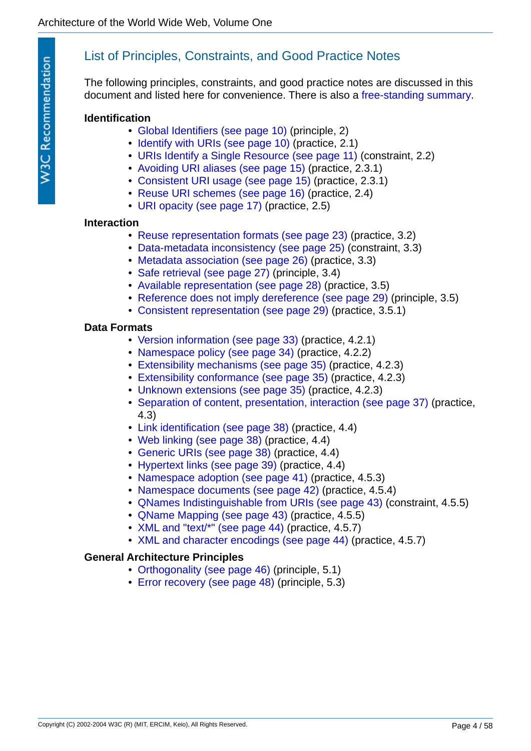# List of Principles, Constraints, and Good Practice Notes

The following principles, constraints, and good practice notes are discussed in this document and listed here for convenience. There is also a [free-standing summary](http://www.w3.org/TR/webarch/summary.html).

### **Identification**

- [Global Identifiers \(see page 10\)](#page-9-3) (principle, 2)
- [Identify with URIs \(see page 10\)](#page-9-4) (practice, 2.1)
- [URIs Identify a Single Resource \(see page 11\)](#page-10-0) (constraint, 2.2)
- [Avoiding URI aliases \(see page 15\)](#page-14-1) (practice, 2.3.1)
- [Consistent URI usage \(see page 15\)](#page-14-2) (practice, 2.3.1)
- [Reuse URI schemes \(see page 16\)](#page-15-2) (practice, 2.4)
- [URI opacity \(see page 17\)](#page-16-1) (practice, 2.5)

### **Interaction**

- [Reuse representation formats \(see page 23\)](#page-22-1) (practice, 3.2)
- [Data-metadata inconsistency \(see page 25\)](#page-24-1) (constraint, 3.3)
- [Metadata association \(see page 26\)](#page-25-1) (practice, 3.3)
- [Safe retrieval \(see page 27\)](#page-26-0) (principle, 3.4)
- [Available representation \(see page 28\)](#page-27-2) (practice, 3.5)
- [Reference does not imply dereference \(see page 29\)](#page-28-1) (principle, 3.5)
- [Consistent representation \(see page 29\)](#page-28-2) (practice, 3.5.1)

### **Data Formats**

- [Version information \(see page 33\)](#page-32-2) (practice, 4.2.1)
- [Namespace policy \(see page 34\)](#page-33-1) (practice, 4.2.2)
- [Extensibility mechanisms \(see page 35\)](#page-34-1) (practice, 4.2.3)
- [Extensibility conformance \(see page 35\)](#page-34-2) (practice, 4.2.3)
- [Unknown extensions \(see page 35\)](#page-34-3) (practice, 4.2.3)
- [Separation of content, presentation, interaction \(see page 37\)](#page-36-0) (practice, 4.3)
- [Link identification \(see page 38\)](#page-37-1) (practice, 4.4)
- [Web linking \(see page 38\)](#page-37-2) (practice, 4.4)
- [Generic URIs \(see page 38\)](#page-37-3) (practice, 4.4)
- [Hypertext links \(see page 39\)](#page-38-3) (practice, 4.4)
- [Namespace adoption \(see page 41\)](#page-40-1) (practice, 4.5.3)
- [Namespace documents \(see page 42\)](#page-41-1) (practice, 4.5.4)
- [QNames Indistinguishable from URIs \(see page 43\)](#page-42-1) (constraint, 4.5.5)
- [QName Mapping \(see page 43\)](#page-42-2) (practice, 4.5.5)
- [XML and "text/\\*" \(see page 44\)](#page-43-1) (practice, 4.5.7)
- [XML and character encodings \(see page 44\)](#page-43-2) (practice, 4.5.7)

### **General Architecture Principles**

- [Orthogonality \(see page 46\)](#page-45-2) (principle, 5.1)
- [Error recovery \(see page 48\)](#page-47-1) (principle, 5.3)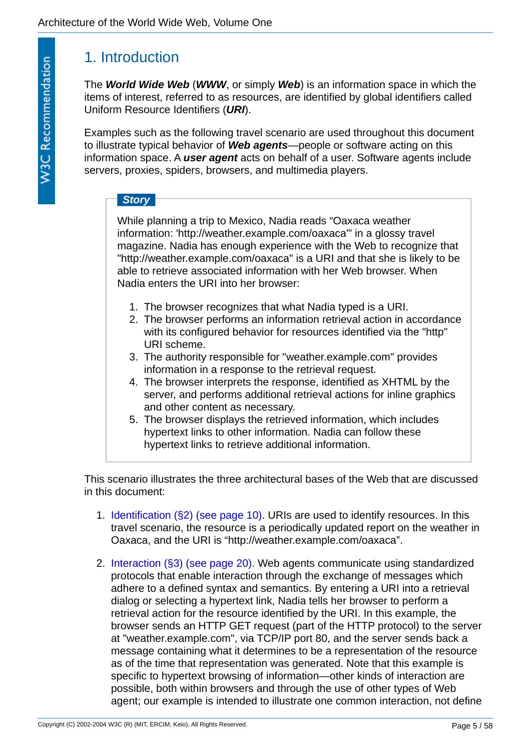# <span id="page-4-0"></span>1. Introduction

<span id="page-4-7"></span><span id="page-4-5"></span><span id="page-4-4"></span><span id="page-4-2"></span>The *World Wide Web* (*WWW*, or simply *Web*) is an information space in which the items of interest, referred to as resources, are identified by global identifiers called Uniform Resource Identifiers (*URI*).

Examples such as the following travel scenario are used throughout this document to illustrate typical behavior of *Web agents*—people or software acting on this information space. A *user agent* acts on behalf of a user. Software agents include servers, proxies, spiders, browsers, and multimedia players.

# <span id="page-4-6"></span><span id="page-4-3"></span><span id="page-4-1"></span>*Story*

While planning a trip to Mexico, Nadia reads "Oaxaca weather information: 'http://weather.example.com/oaxaca'" in a glossy travel magazine. Nadia has enough experience with the Web to recognize that "http://weather.example.com/oaxaca" is a URI and that she is likely to be able to retrieve associated information with her Web browser. When Nadia enters the URI into her browser:

- 1. The browser recognizes that what Nadia typed is a URI.
- 2. The browser performs an information retrieval action in accordance with its configured behavior for resources identified via the "http" URI scheme.
- 3. The authority responsible for "weather.example.com" provides information in a response to the retrieval request.
- 4. The browser interprets the response, identified as XHTML by the server, and performs additional retrieval actions for inline graphics and other content as necessary.
- 5. The browser displays the retrieved information, which includes hypertext links to other information. Nadia can follow these hypertext links to retrieve additional information.

This scenario illustrates the three architectural bases of the Web that are discussed in this document:

- 1. [Identification \(§2\) \(see page 10\).](#page-9-0) URIs are used to identify resources. In this travel scenario, the resource is a periodically updated report on the weather in Oaxaca, and the URI is "http://weather.example.com/oaxaca".
- 2. [Interaction \(§3\) \(see page 20\).](#page-19-0) Web agents communicate using standardized protocols that enable interaction through the exchange of messages which adhere to a defined syntax and semantics. By entering a URI into a retrieval dialog or selecting a hypertext link, Nadia tells her browser to perform a retrieval action for the resource identified by the URI. In this example, the browser sends an HTTP GET request (part of the HTTP protocol) to the server at "weather.example.com", via TCP/IP port 80, and the server sends back a message containing what it determines to be a representation of the resource as of the time that representation was generated. Note that this example is specific to hypertext browsing of information—other kinds of interaction are possible, both within browsers and through the use of other types of Web agent; our example is intended to illustrate one common interaction, not define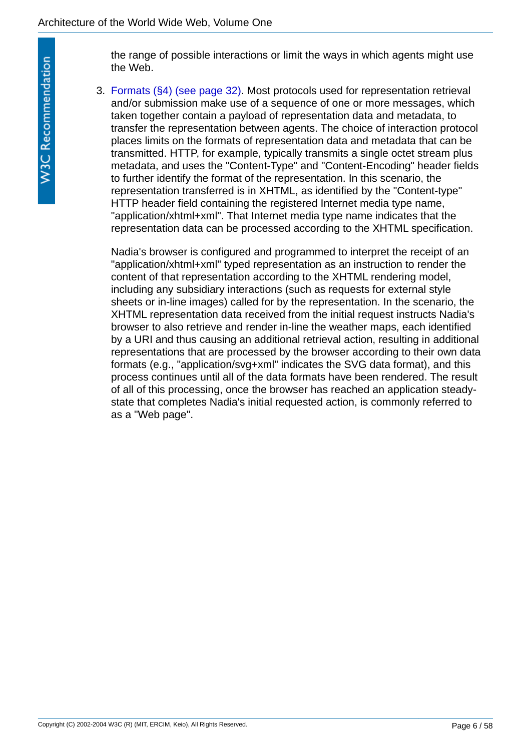the range of possible interactions or limit the ways in which agents might use the Web.

3. [Formats \(§4\) \(see page 32\)](#page-31-0). Most protocols used for representation retrieval and/or submission make use of a sequence of one or more messages, which taken together contain a payload of representation data and metadata, to transfer the representation between agents. The choice of interaction protocol places limits on the formats of representation data and metadata that can be transmitted. HTTP, for example, typically transmits a single octet stream plus metadata, and uses the "Content-Type" and "Content-Encoding" header fields to further identify the format of the representation. In this scenario, the representation transferred is in XHTML, as identified by the "Content-type" HTTP header field containing the registered Internet media type name, "application/xhtml+xml". That Internet media type name indicates that the representation data can be processed according to the XHTML specification.

Nadia's browser is configured and programmed to interpret the receipt of an "application/xhtml+xml" typed representation as an instruction to render the content of that representation according to the XHTML rendering model, including any subsidiary interactions (such as requests for external style sheets or in-line images) called for by the representation. In the scenario, the XHTML representation data received from the initial request instructs Nadia's browser to also retrieve and render in-line the weather maps, each identified by a URI and thus causing an additional retrieval action, resulting in additional representations that are processed by the browser according to their own data formats (e.g., "application/svg+xml" indicates the SVG data format), and this process continues until all of the data formats have been rendered. The result of all of this processing, once the browser has reached an application steadystate that completes Nadia's initial requested action, is commonly referred to as a "Web page".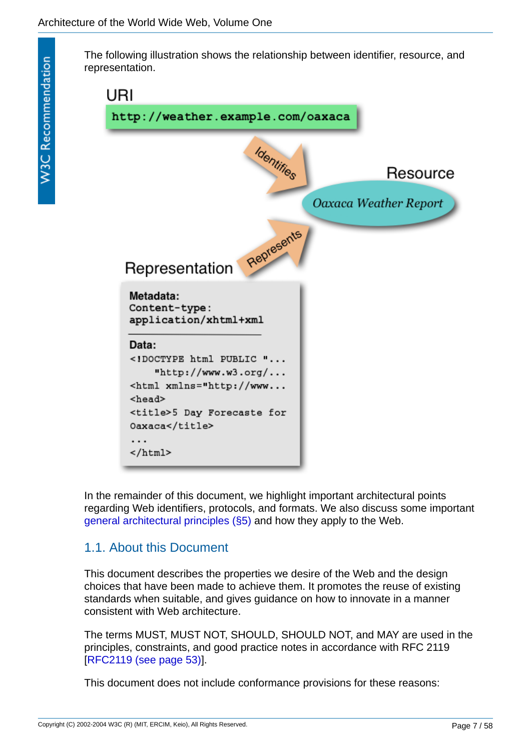The following illustration shows the relationship between identifier, resource, and representation.



In the remainder of this document, we highlight important architectural points regarding Web identifiers, protocols, and formats. We also discuss some important [general architectural principles \(§5\)](#page-45-0) and how they apply to the Web.

# <span id="page-6-0"></span>1.1. About this Document

This document describes the properties we desire of the Web and the design choices that have been made to achieve them. It promotes the reuse of existing standards when suitable, and gives guidance on how to innovate in a manner consistent with Web architecture.

The terms MUST, MUST NOT, SHOULD, SHOULD NOT, and MAY are used in the principles, constraints, and good practice notes in accordance with RFC 2119 [[RFC2119 \(see page 53\)\]](#page-52-0).

This document does not include conformance provisions for these reasons: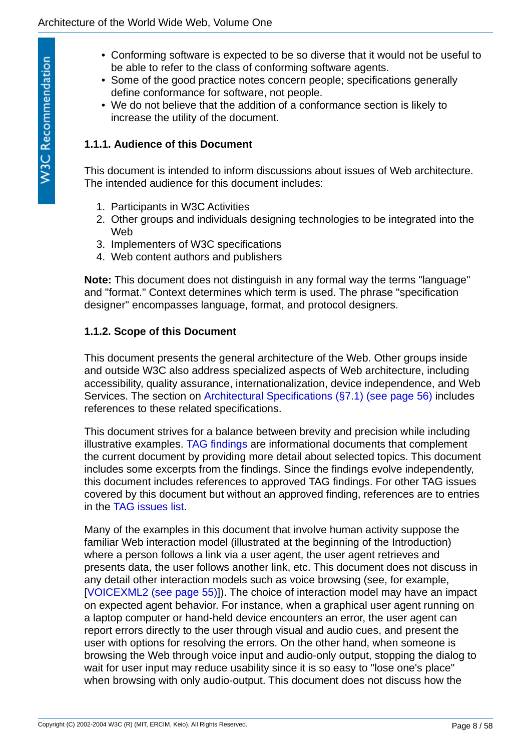- Conforming software is expected to be so diverse that it would not be useful to be able to refer to the class of conforming software agents.
- Some of the good practice notes concern people; specifications generally define conformance for software, not people.
- We do not believe that the addition of a conformance section is likely to increase the utility of the document.

### <span id="page-7-0"></span>**1.1.1. Audience of this Document**

This document is intended to inform discussions about issues of Web architecture. The intended audience for this document includes:

- 1. Participants in W3C Activities
- 2. Other groups and individuals designing technologies to be integrated into the **Web**
- 3. Implementers of W3C specifications
- 4. Web content authors and publishers

**Note:** This document does not distinguish in any formal way the terms "language" and "format." Context determines which term is used. The phrase "specification designer" encompasses language, format, and protocol designers.

### <span id="page-7-1"></span>**1.1.2. Scope of this Document**

This document presents the general architecture of the Web. Other groups inside and outside W3C also address specialized aspects of Web architecture, including accessibility, quality assurance, internationalization, device independence, and Web Services. The section on [Architectural Specifications \(§7.1\) \(see page 56\)](#page-55-0) includes references to these related specifications.

This document strives for a balance between brevity and precision while including illustrative examples. [TAG findings](http://www.w3.org/2001/tag/findings) are informational documents that complement the current document by providing more detail about selected topics. This document includes some excerpts from the findings. Since the findings evolve independently, this document includes references to approved TAG findings. For other TAG issues covered by this document but without an approved finding, references are to entries in the [TAG issues list](http://www.w3.org/2001/tag/issues.html).

Many of the examples in this document that involve human activity suppose the familiar Web interaction model (illustrated at the beginning of the Introduction) where a person follows a link via a user agent, the user agent retrieves and presents data, the user follows another link, etc. This document does not discuss in any detail other interaction models such as voice browsing (see, for example, [[VOICEXML2 \(see page 55\)\]](#page-54-0)). The choice of interaction model may have an impact on expected agent behavior. For instance, when a graphical user agent running on a laptop computer or hand-held device encounters an error, the user agent can report errors directly to the user through visual and audio cues, and present the user with options for resolving the errors. On the other hand, when someone is browsing the Web through voice input and audio-only output, stopping the dialog to wait for user input may reduce usability since it is so easy to "lose one's place" when browsing with only audio-output. This document does not discuss how the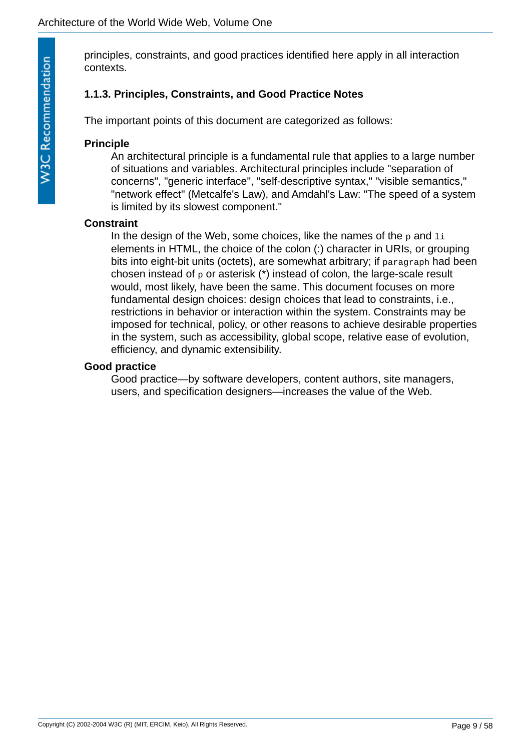principles, constraints, and good practices identified here apply in all interaction contexts.

### <span id="page-8-0"></span>**1.1.3. Principles, Constraints, and Good Practice Notes**

The important points of this document are categorized as follows:

### **Principle**

An architectural principle is a fundamental rule that applies to a large number of situations and variables. Architectural principles include "separation of concerns", "generic interface", "self-descriptive syntax," "visible semantics," "network effect" (Metcalfe's Law), and Amdahl's Law: "The speed of a system is limited by its slowest component."

### **Constraint**

In the design of the Web, some choices, like the names of the  $p$  and  $1i$ elements in HTML, the choice of the colon (:) character in URIs, or grouping bits into eight-bit units (octets), are somewhat arbitrary; if paragraph had been chosen instead of p or asterisk (\*) instead of colon, the large-scale result would, most likely, have been the same. This document focuses on more fundamental design choices: design choices that lead to constraints, i.e., restrictions in behavior or interaction within the system. Constraints may be imposed for technical, policy, or other reasons to achieve desirable properties in the system, such as accessibility, global scope, relative ease of evolution, efficiency, and dynamic extensibility.

### **Good practice**

Good practice—by software developers, content authors, site managers, users, and specification designers—increases the value of the Web.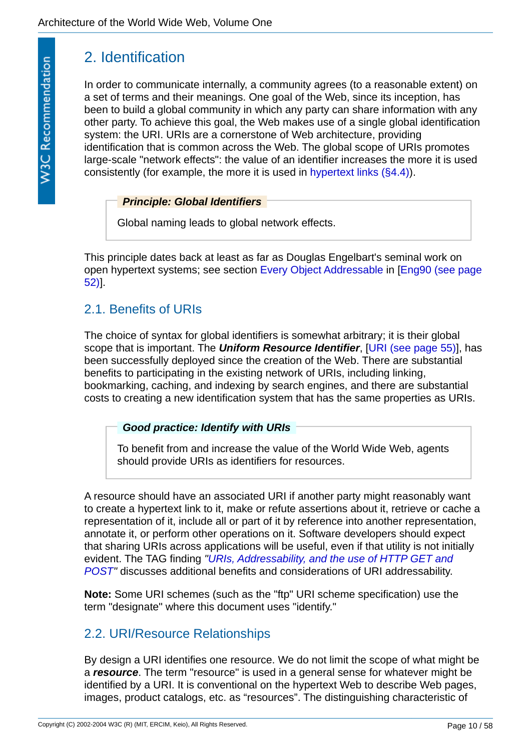# <span id="page-9-0"></span>2. Identification

In order to communicate internally, a community agrees (to a reasonable extent) on a set of terms and their meanings. One goal of the Web, since its inception, has been to build a global community in which any party can share information with any other party. To achieve this goal, the Web makes use of a single global identification system: the URI. URIs are a cornerstone of Web architecture, providing identification that is common across the Web. The global scope of URIs promotes large-scale "network effects": the value of an identifier increases the more it is used consistently (for example, the more it is used in [hypertext links \(§4.4\)](#page-37-0)).

<span id="page-9-3"></span>*Principle: Global Identifiers*

Global naming leads to global network effects.

This principle dates back at least as far as Douglas Engelbart's seminal work on [open hypertext systems; see section E](#page-51-1)[very Object Addressable](http://www.bootstrap.org/augdocs/augment-132082.htm#11K) [in \[Eng90 \(see page](#page-51-1)  52)].

# <span id="page-9-1"></span>2.1. Benefits of URIs

The choice of syntax for global identifiers is somewhat arbitrary; it is their global scope that is important. The *Uniform Resource Identifier*, [\[URI \(see page 55\)](#page-54-1)], has been successfully deployed since the creation of the Web. There are substantial benefits to participating in the existing network of URIs, including linking, bookmarking, caching, and indexing by search engines, and there are substantial costs to creating a new identification system that has the same properties as URIs.

<span id="page-9-6"></span><span id="page-9-4"></span>*Good practice: Identify with URIs*

To benefit from and increase the value of the World Wide Web, agents should provide URIs as identifiers for resources.

A resource should have an associated URI if another party might reasonably want to create a hypertext link to it, make or refute assertions about it, retrieve or cache a representation of it, include all or part of it by reference into another representation, annotate it, or perform other operations on it. Software developers should expect that sharing URIs across applications will be useful, even if that utility is not initially evident. The TAG finding *"URIs, Addressability, and the use of HTTP GET and POST"* [discusses additional benefits and considerations of URI addressability.](http://www.w3.org/2001/tag/doc/whenToUseGet.html)

**Note:** Some URI schemes (such as the "ftp" URI scheme specification) use the term "designate" where this document uses "identify."

# <span id="page-9-2"></span>2.2. URI/Resource Relationships

<span id="page-9-5"></span>By design a URI identifies one resource. We do not limit the scope of what might be a *resource*. The term "resource" is used in a general sense for whatever might be identified by a URI. It is conventional on the hypertext Web to describe Web pages, images, product catalogs, etc. as "resources". The distinguishing characteristic of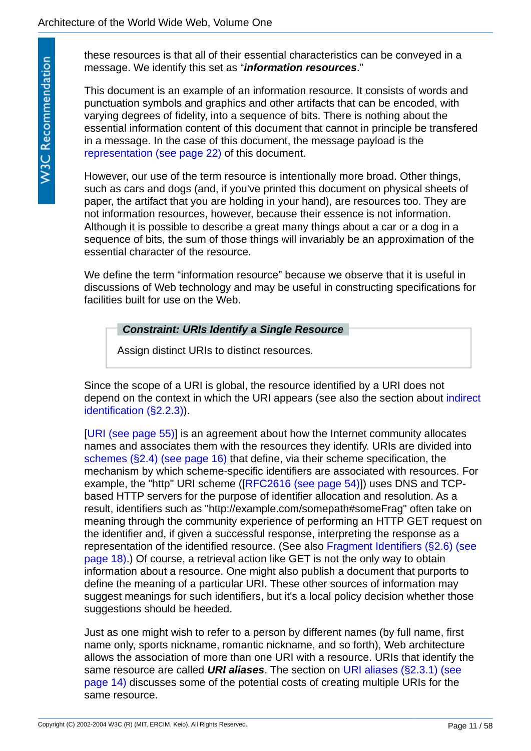<span id="page-10-1"></span>these resources is that all of their essential characteristics can be conveyed in a message. We identify this set as "*information resources*."

This document is an example of an information resource. It consists of words and punctuation symbols and graphics and other artifacts that can be encoded, with varying degrees of fidelity, into a sequence of bits. There is nothing about the essential information content of this document that cannot in principle be transfered in a message. In the case of this document, the message payload is the [representation \(see page 22\)](#page-21-1) of this document.

However, our use of the term resource is intentionally more broad. Other things, such as cars and dogs (and, if you've printed this document on physical sheets of paper, the artifact that you are holding in your hand), are resources too. They are not information resources, however, because their essence is not information. Although it is possible to describe a great many things about a car or a dog in a sequence of bits, the sum of those things will invariably be an approximation of the essential character of the resource.

We define the term "information resource" because we observe that it is useful in discussions of Web technology and may be useful in constructing specifications for facilities built for use on the Web.

### <span id="page-10-0"></span>*Constraint: URIs Identify a Single Resource*

Assign distinct URIs to distinct resources.

Since the scope of a URI is global, the resource identified by a URI does not [depend on the context in which the URI appears \(see also the section about indirect](#page-12-0)  identification (§2.2.3)).

[[URI \(see page 55\)\]](#page-54-1) is an agreement about how the Internet community allocates names and associates them with the resources they identify. URIs are divided into [schemes \(§2.4\) \(see page 16\)](#page-15-0) that define, via their scheme specification, the mechanism by which scheme-specific identifiers are associated with resources. For example, the "http" URI scheme ([[RFC2616 \(see page 54\)\]](#page-53-0)) uses DNS and TCPbased HTTP servers for the purpose of identifier allocation and resolution. As a result, identifiers such as "http://example.com/somepath#someFrag" often take on meaning through the community experience of performing an HTTP GET request on the identifier and, if given a successful response, interpreting the response as a [representation of the identified resource. \(See also Fragment Identifiers \(§2.6\) \(see](#page-17-0)  page 18).) Of course, a retrieval action like GET is not the only way to obtain information about a resource. One might also publish a document that purports to define the meaning of a particular URI. These other sources of information may suggest meanings for such identifiers, but it's a local policy decision whether those suggestions should be heeded.

<span id="page-10-2"></span>Just as one might wish to refer to a person by different names (by full name, first name only, sports nickname, romantic nickname, and so forth), Web architecture allows the association of more than one URI with a resource. URIs that identify the same resource are called *URI aliases*. The section on URI aliases (§2.3.1) (see [page 14\) discusses some of the potential costs of creating multiple URIs for the](#page-13-1)  same resource.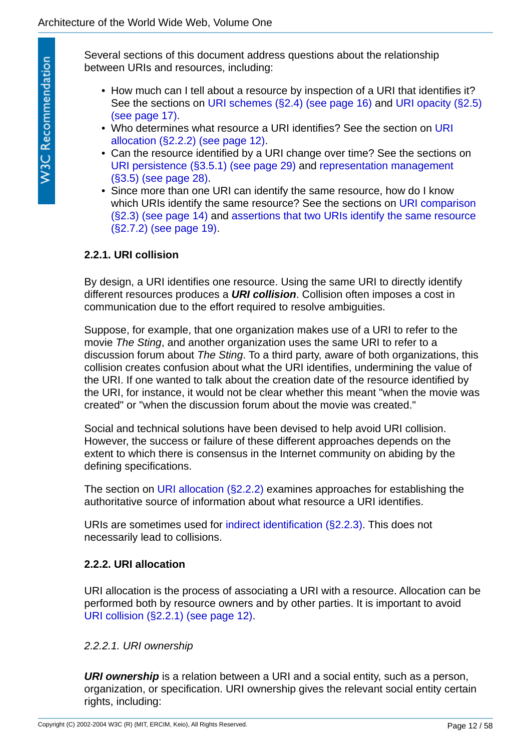Several sections of this document address questions about the relationship between URIs and resources, including:

- How much can I tell about a resource by inspection of a URI that identifies it? [See the sections on](#page-16-0) [URI schemes \(§2.4\) \(see page 16](#page-15-0)[\) and URI opacity \(§2.5\)](#page-16-0) (see page 17).
- [Who determines what resource a URI identifies? See the section on URI](#page-11-1)  allocation (§2.2.2) (see page 12).
- Can the resource identified by a URI change over time? See the sections on [U](#page-27-1)[RI persistence \(§3.5.1\) \(see page 29\)](#page-28-0) [and representation management](#page-27-1)  (§3.5) (see page 28).
- Since more than one URI can identify the same resource, how do I know [which URIs identify the same resource? See the sections on URI comparison](#page-13-0)  [\(§2.3\) \(see page 14\) and assertions that two URIs identify the same resource](#page-18-1)  (§2.7.2) (see page 19).

## <span id="page-11-0"></span>**2.2.1. URI collision**

<span id="page-11-3"></span>By design, a URI identifies one resource. Using the same URI to directly identify different resources produces a *URI collision*. Collision often imposes a cost in communication due to the effort required to resolve ambiguities.

Suppose, for example, that one organization makes use of a URI to refer to the movie *The Sting*, and another organization uses the same URI to refer to a discussion forum about *The Sting*. To a third party, aware of both organizations, this collision creates confusion about what the URI identifies, undermining the value of the URI. If one wanted to talk about the creation date of the resource identified by the URI, for instance, it would not be clear whether this meant "when the movie was created" or "when the discussion forum about the movie was created."

Social and technical solutions have been devised to help avoid URI collision. However, the success or failure of these different approaches depends on the extent to which there is consensus in the Internet community on abiding by the defining specifications.

The section on [URI allocation \(§2.2.2\)](#page-11-1) examines approaches for establishing the authoritative source of information about what resource a URI identifies.

URIs are sometimes used for [indirect identification \(§2.2.3\)](#page-12-0). This does not necessarily lead to collisions.

## <span id="page-11-1"></span>**2.2.2. URI allocation**

URI allocation is the process of associating a URI with a resource. Allocation can be performed both by resource owners and by other parties. It is important to avoid [URI collision \(§2.2.1\) \(see page 12\)](#page-11-0).

## <span id="page-11-2"></span>*2.2.2.1. URI ownership*

<span id="page-11-4"></span>*URI ownership* is a relation between a URI and a social entity, such as a person, organization, or specification. URI ownership gives the relevant social entity certain rights, including: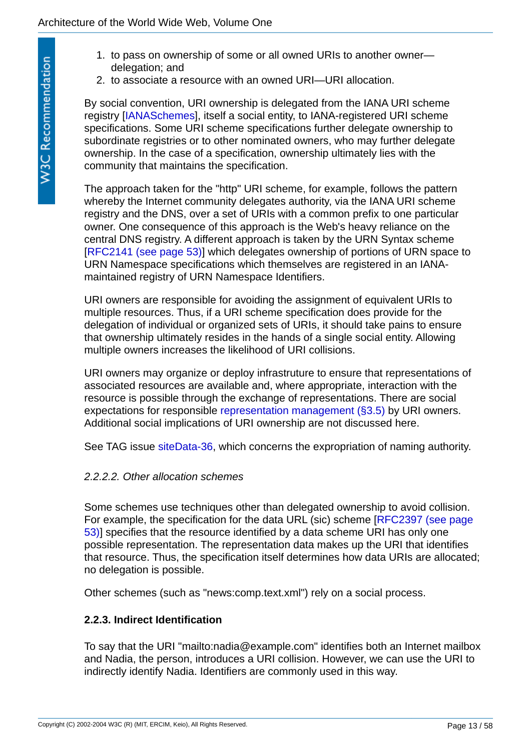- 1. to pass on ownership of some or all owned URIs to another owner delegation; and
- 2. to associate a resource with an owned URI—URI allocation.

By social convention, URI ownership is delegated from the IANA URI scheme registry [\[IANASchemes](#page-51-2)], itself a social entity, to IANA-registered URI scheme specifications. Some URI scheme specifications further delegate ownership to subordinate registries or to other nominated owners, who may further delegate ownership. In the case of a specification, ownership ultimately lies with the community that maintains the specification.

The approach taken for the "http" URI scheme, for example, follows the pattern whereby the Internet community delegates authority, via the IANA URI scheme registry and the DNS, over a set of URIs with a common prefix to one particular owner. One consequence of this approach is the Web's heavy reliance on the central DNS registry. A different approach is taken by the URN Syntax scheme [[RFC2141 \(see page 53\)\]](#page-52-1) which delegates ownership of portions of URN space to URN Namespace specifications which themselves are registered in an IANAmaintained registry of URN Namespace Identifiers.

URI owners are responsible for avoiding the assignment of equivalent URIs to multiple resources. Thus, if a URI scheme specification does provide for the delegation of individual or organized sets of URIs, it should take pains to ensure that ownership ultimately resides in the hands of a single social entity. Allowing multiple owners increases the likelihood of URI collisions.

URI owners may organize or deploy infrastruture to ensure that representations of associated resources are available and, where appropriate, interaction with the resource is possible through the exchange of representations. There are social expectations for responsible [representation management \(§3.5\)](#page-27-1) by URI owners. Additional social implications of URI ownership are not discussed here.

See TAG issue [siteData-36,](http://www.w3.org/2001/tag/issues.html#siteData-36) which concerns the expropriation of naming authority.

## *2.2.2.2. Other allocation schemes*

Some schemes use techniques other than delegated ownership to avoid collision. [For example, the specification for the data URL \(sic\) scheme \[RFC2397 \(see page](#page-52-2)  53)] specifies that the resource identified by a data scheme URI has only one possible representation. The representation data makes up the URI that identifies that resource. Thus, the specification itself determines how data URIs are allocated; no delegation is possible.

Other schemes (such as "news:comp.text.xml") rely on a social process.

## <span id="page-12-0"></span>**2.2.3. Indirect Identification**

To say that the URI "mailto:nadia@example.com" identifies both an Internet mailbox and Nadia, the person, introduces a URI collision. However, we can use the URI to indirectly identify Nadia. Identifiers are commonly used in this way.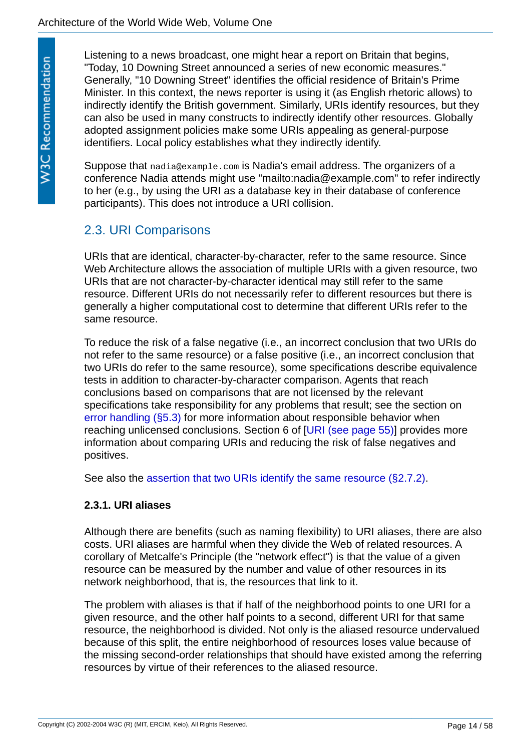Listening to a news broadcast, one might hear a report on Britain that begins, "Today, 10 Downing Street announced a series of new economic measures." Generally, "10 Downing Street" identifies the official residence of Britain's Prime Minister. In this context, the news reporter is using it (as English rhetoric allows) to indirectly identify the British government. Similarly, URIs identify resources, but they can also be used in many constructs to indirectly identify other resources. Globally adopted assignment policies make some URIs appealing as general-purpose identifiers. Local policy establishes what they indirectly identify.

Suppose that nadia@example.com is Nadia's email address. The organizers of a conference Nadia attends might use "mailto:nadia@example.com" to refer indirectly to her (e.g., by using the URI as a database key in their database of conference participants). This does not introduce a URI collision.

# <span id="page-13-0"></span>2.3. URI Comparisons

URIs that are identical, character-by-character, refer to the same resource. Since Web Architecture allows the association of multiple URIs with a given resource, two URIs that are not character-by-character identical may still refer to the same resource. Different URIs do not necessarily refer to different resources but there is generally a higher computational cost to determine that different URIs refer to the same resource.

To reduce the risk of a false negative (i.e., an incorrect conclusion that two URIs do not refer to the same resource) or a false positive (i.e., an incorrect conclusion that two URIs do refer to the same resource), some specifications describe equivalence tests in addition to character-by-character comparison. Agents that reach conclusions based on comparisons that are not licensed by the relevant specifications take responsibility for any problems that result; see the section on [error handling \(§5.3\)](#page-47-0) for more information about responsible behavior when reaching unlicensed conclusions. Section 6 of [[URI \(see page 55\)\]](#page-54-1) provides more information about comparing URIs and reducing the risk of false negatives and positives.

See also the [assertion that two URIs identify the same resource \(§2.7.2\)](#page-18-1).

### <span id="page-13-1"></span>**2.3.1. URI aliases**

Although there are benefits (such as naming flexibility) to URI aliases, there are also costs. URI aliases are harmful when they divide the Web of related resources. A corollary of Metcalfe's Principle (the "network effect") is that the value of a given resource can be measured by the number and value of other resources in its network neighborhood, that is, the resources that link to it.

The problem with aliases is that if half of the neighborhood points to one URI for a given resource, and the other half points to a second, different URI for that same resource, the neighborhood is divided. Not only is the aliased resource undervalued because of this split, the entire neighborhood of resources loses value because of the missing second-order relationships that should have existed among the referring resources by virtue of their references to the aliased resource.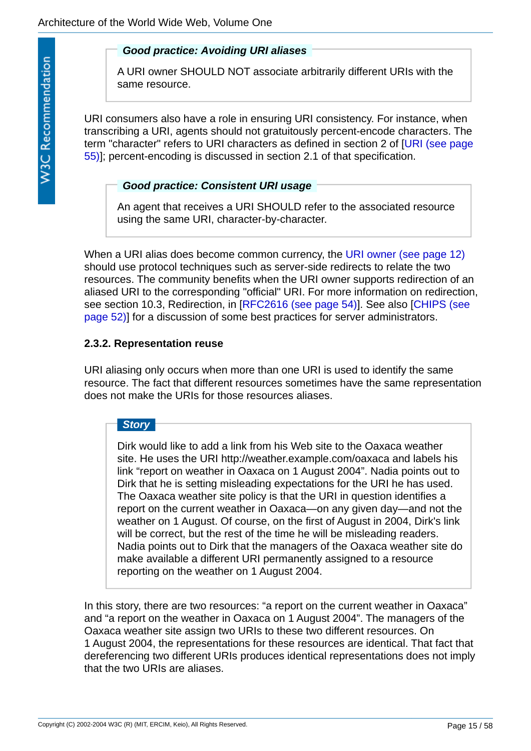### <span id="page-14-1"></span>*Good practice: Avoiding URI aliases*

A URI owner SHOULD NOT associate arbitrarily different URIs with the same resource.

URI consumers also have a role in ensuring URI consistency. For instance, when transcribing a URI, agents should not gratuitously percent-encode characters. The [term "character" refers to URI characters as defined in section 2 of \[URI \(see page](#page-54-1)  55)]; percent-encoding is discussed in section 2.1 of that specification.

### <span id="page-14-2"></span>*Good practice: Consistent URI usage*

An agent that receives a URI SHOULD refer to the associated resource using the same URI, character-by-character.

When a URI alias does become common currency, the [URI owner \(see page 12\)](#page-11-2) should use protocol techniques such as server-side redirects to relate the two resources. The community benefits when the URI owner supports redirection of an aliased URI to the corresponding "official" URI. For more information on redirection, [see section 10.3, Redirection, in \[RFC2616 \(see page 54\)\]. See also \[CHIPS \(see](#page-51-3)  page 52)] for a discussion of some best practices for server administrators.

# <span id="page-14-0"></span>**2.3.2. Representation reuse**

URI aliasing only occurs when more than one URI is used to identify the same resource. The fact that different resources sometimes have the same representation does not make the URIs for those resources aliases.

# *Story*

Dirk would like to add a link from his Web site to the Oaxaca weather site. He uses the URI http://weather.example.com/oaxaca and labels his link "report on weather in Oaxaca on 1 August 2004". Nadia points out to Dirk that he is setting misleading expectations for the URI he has used. The Oaxaca weather site policy is that the URI in question identifies a report on the current weather in Oaxaca—on any given day—and not the weather on 1 August. Of course, on the first of August in 2004, Dirk's link will be correct, but the rest of the time he will be misleading readers. Nadia points out to Dirk that the managers of the Oaxaca weather site do make available a different URI permanently assigned to a resource reporting on the weather on 1 August 2004.

In this story, there are two resources: "a report on the current weather in Oaxaca" and "a report on the weather in Oaxaca on 1 August 2004". The managers of the Oaxaca weather site assign two URIs to these two different resources. On 1 August 2004, the representations for these resources are identical. That fact that dereferencing two different URIs produces identical representations does not imply that the two URIs are aliases.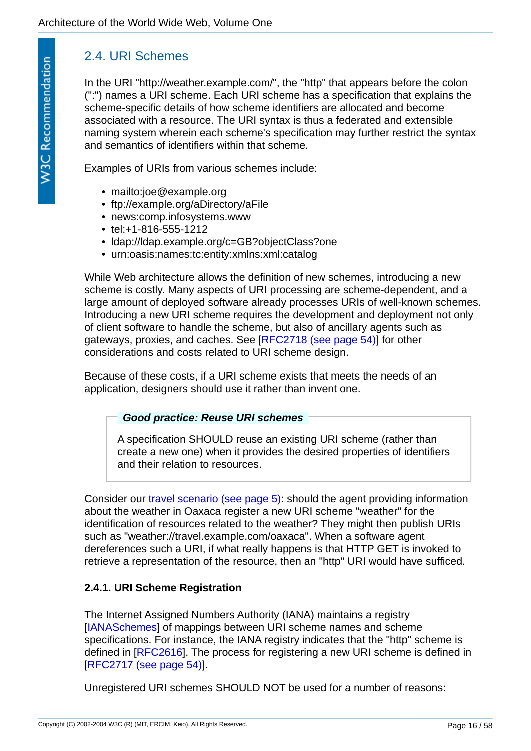# <span id="page-15-0"></span>2.4. URI Schemes

In the URI "http://weather.example.com/", the "http" that appears before the colon (":") names a URI scheme. Each URI scheme has a specification that explains the scheme-specific details of how scheme identifiers are allocated and become associated with a resource. The URI syntax is thus a federated and extensible naming system wherein each scheme's specification may further restrict the syntax and semantics of identifiers within that scheme.

Examples of URIs from various schemes include:

- mailto:joe@example.org
- ftp://example.org/aDirectory/aFile
- news:comp.infosystems.www
- tel:+1-816-555-1212
- ldap://ldap.example.org/c=GB?objectClass?one
- urn:oasis:names:tc:entity:xmlns:xml:catalog

While Web architecture allows the definition of new schemes, introducing a new scheme is costly. Many aspects of URI processing are scheme-dependent, and a large amount of deployed software already processes URIs of well-known schemes. Introducing a new URI scheme requires the development and deployment not only of client software to handle the scheme, but also of ancillary agents such as gateways, proxies, and caches. See [\[RFC2718 \(see page 54\)\]](#page-53-1) for other considerations and costs related to URI scheme design.

Because of these costs, if a URI scheme exists that meets the needs of an application, designers should use it rather than invent one.

### <span id="page-15-2"></span>*Good practice: Reuse URI schemes*

A specification SHOULD reuse an existing URI scheme (rather than create a new one) when it provides the desired properties of identifiers and their relation to resources.

Consider our [travel scenario \(see page 5\)](#page-4-1): should the agent providing information about the weather in Oaxaca register a new URI scheme "weather" for the identification of resources related to the weather? They might then publish URIs such as "weather://travel.example.com/oaxaca". When a software agent dereferences such a URI, if what really happens is that HTTP GET is invoked to retrieve a representation of the resource, then an "http" URI would have sufficed.

## <span id="page-15-1"></span>**2.4.1. URI Scheme Registration**

The Internet Assigned Numbers Authority (IANA) maintains a registry [[IANASchemes\]](#page-51-2) of mappings between URI scheme names and scheme specifications. For instance, the IANA registry indicates that the "http" scheme is defined in [\[RFC2616\]](#page-53-0). The process for registering a new URI scheme is defined in [[RFC2717 \(see page 54\)\]](#page-53-2).

Unregistered URI schemes SHOULD NOT be used for a number of reasons: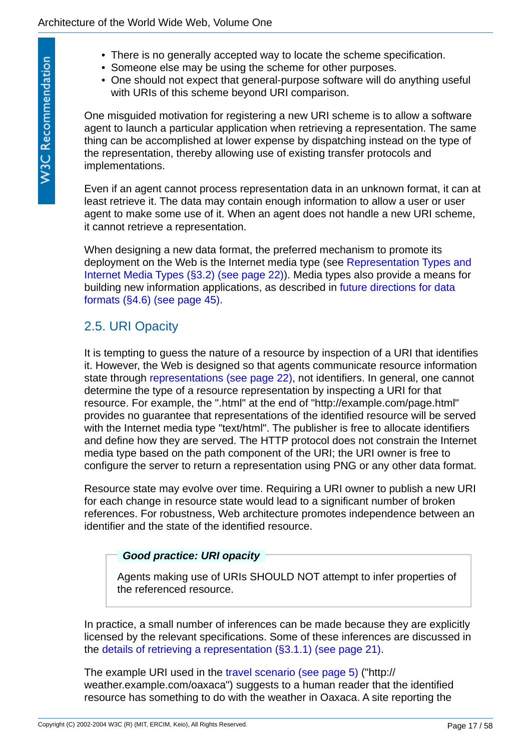- There is no generally accepted way to locate the scheme specification.
- Someone else may be using the scheme for other purposes.
- One should not expect that general-purpose software will do anything useful with URIs of this scheme beyond URI comparison.

One misguided motivation for registering a new URI scheme is to allow a software agent to launch a particular application when retrieving a representation. The same thing can be accomplished at lower expense by dispatching instead on the type of the representation, thereby allowing use of existing transfer protocols and implementations.

Even if an agent cannot process representation data in an unknown format, it can at least retrieve it. The data may contain enough information to allow a user or user agent to make some use of it. When an agent does not handle a new URI scheme, it cannot retrieve a representation.

When designing a new data format, the preferred mechanism to promote its [deployment on the Web is the Internet media type \(see Representation Types and](#page-21-0)  Internet Media Types (§3.2) (see page 22)). Media types also provide a means for [building new information applications, as described in future directions for data](#page-44-1)  formats (§4.6) (see page 45).

# <span id="page-16-0"></span>2.5. URI Opacity

It is tempting to guess the nature of a resource by inspection of a URI that identifies it. However, the Web is designed so that agents communicate resource information state through [representations \(see page 22\),](#page-21-1) not identifiers. In general, one cannot determine the type of a resource representation by inspecting a URI for that resource. For example, the ".html" at the end of "http://example.com/page.html" provides no guarantee that representations of the identified resource will be served with the Internet media type "text/html". The publisher is free to allocate identifiers and define how they are served. The HTTP protocol does not constrain the Internet media type based on the path component of the URI; the URI owner is free to configure the server to return a representation using PNG or any other data format.

Resource state may evolve over time. Requiring a URI owner to publish a new URI for each change in resource state would lead to a significant number of broken references. For robustness, Web architecture promotes independence between an identifier and the state of the identified resource.

### <span id="page-16-1"></span>*Good practice: URI opacity*

Agents making use of URIs SHOULD NOT attempt to infer properties of the referenced resource.

In practice, a small number of inferences can be made because they are explicitly licensed by the relevant specifications. Some of these inferences are discussed in the [details of retrieving a representation \(§3.1.1\) \(see page 21\)](#page-20-0).

The example URI used in the [travel scenario \(see page 5\)](#page-4-1) ("http:// weather.example.com/oaxaca") suggests to a human reader that the identified resource has something to do with the weather in Oaxaca. A site reporting the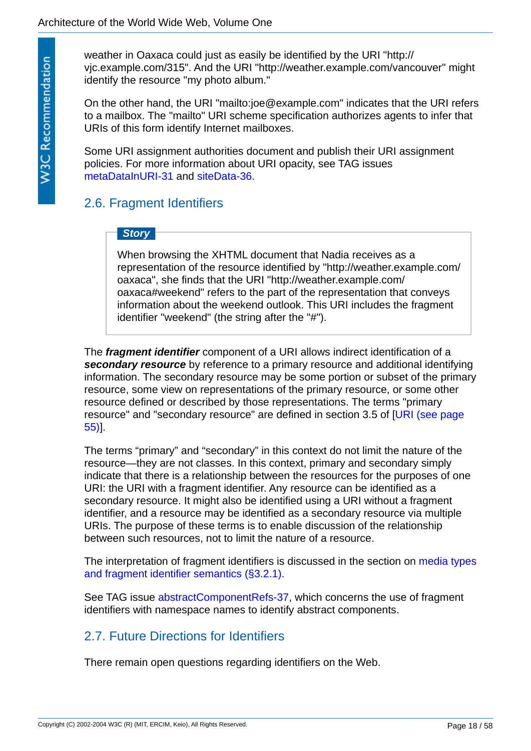weather in Oaxaca could just as easily be identified by the URI "http:// vjc.example.com/315". And the URI "http://weather.example.com/vancouver" might identify the resource "my photo album."

On the other hand, the URI "mailto:joe@example.com" indicates that the URI refers to a mailbox. The "mailto" URI scheme specification authorizes agents to infer that URIs of this form identify Internet mailboxes.

Some URI assignment authorities document and publish their URI assignment policies. For more information about URI opacity, see TAG issues [metaDataInURI-31](http://www.w3.org/2001/tag/issues.html#metadataInURI-31) and [siteData-36](http://www.w3.org/2001/tag/issues.html#siteData-36).

# <span id="page-17-0"></span>2.6. Fragment Identifiers

# *Story*

When browsing the XHTML document that Nadia receives as a representation of the resource identified by "http://weather.example.com/ oaxaca", she finds that the URI "http://weather.example.com/ oaxaca#weekend" refers to the part of the representation that conveys information about the weekend outlook. This URI includes the fragment identifier "weekend" (the string after the "#").

<span id="page-17-3"></span><span id="page-17-2"></span>The *fragment identifier* component of a URI allows indirect identification of a *secondary resource* by reference to a primary resource and additional identifying information. The secondary resource may be some portion or subset of the primary resource, some view on representations of the primary resource, or some other resource defined or described by those representations. The terms "primary [resource" and "secondary resource" are defined in section 3.5 of \[URI \(see page](#page-54-1)  55)].

The terms "primary" and "secondary" in this context do not limit the nature of the resource—they are not classes. In this context, primary and secondary simply indicate that there is a relationship between the resources for the purposes of one URI: the URI with a fragment identifier. Any resource can be identified as a secondary resource. It might also be identified using a URI without a fragment identifier, and a resource may be identified as a secondary resource via multiple URIs. The purpose of these terms is to enable discussion of the relationship between such resources, not to limit the nature of a resource.

[The interpretation of fragment identifiers is discussed in the section on media types](#page-22-0)  and fragment identifier semantics (§3.2.1).

See TAG issue [abstractComponentRefs-37](http://www.w3.org/2001/tag/issues.html#abstractComponentRefs-37), which concerns the use of fragment identifiers with namespace names to identify abstract components.

# <span id="page-17-1"></span>2.7. Future Directions for Identifiers

There remain open questions regarding identifiers on the Web.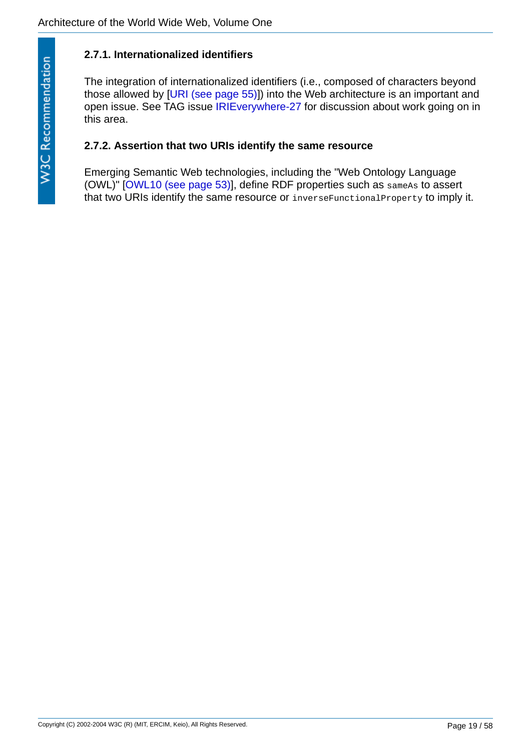# <span id="page-18-0"></span>**2.7.1. Internationalized identifiers**

The integration of internationalized identifiers (i.e., composed of characters beyond those allowed by [[URI \(see page 55\)](#page-54-1)]) into the Web architecture is an important and open issue. See TAG issue [IRIEverywhere-27](http://www.w3.org/2001/tag/issues.html#IRIEverywhere-27) for discussion about work going on in this area.

### <span id="page-18-1"></span>**2.7.2. Assertion that two URIs identify the same resource**

Emerging Semantic Web technologies, including the "Web Ontology Language (OWL)" [[OWL10 \(see page 53\)\]](#page-52-3), define RDF properties such as sameAs to assert that two URIs identify the same resource or inverseFunctionalProperty to imply it.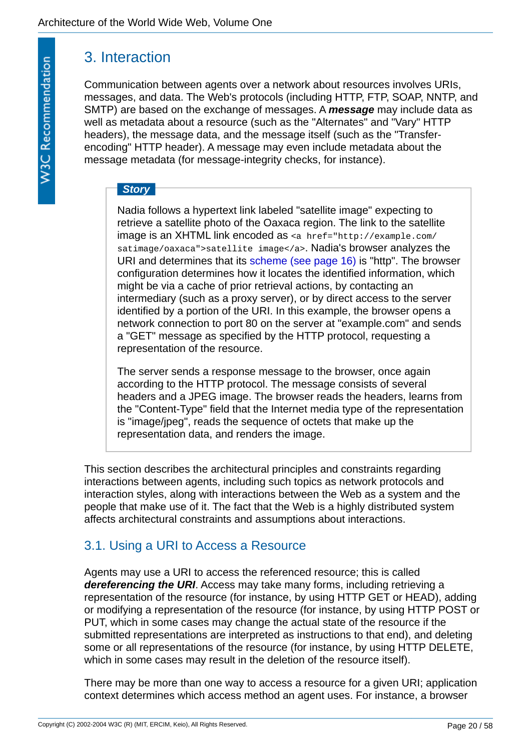# <span id="page-19-0"></span>3. Interaction

Communication between agents over a network about resources involves URIs, messages, and data. The Web's protocols (including HTTP, FTP, SOAP, NNTP, and SMTP) are based on the exchange of messages. A *message* may include data as well as metadata about a resource (such as the "Alternates" and "Vary" HTTP headers), the message data, and the message itself (such as the "Transferencoding" HTTP header). A message may even include metadata about the message metadata (for message-integrity checks, for instance).

# <span id="page-19-3"></span>*Story*

Nadia follows a hypertext link labeled "satellite image" expecting to retrieve a satellite photo of the Oaxaca region. The link to the satellite image is an XHTML link encoded as <a href="http://example.com/ satimage/oaxaca">satellite image</a>. Nadia's browser analyzes the URI and determines that its [scheme \(see page 16\)](#page-15-0) is "http". The browser configuration determines how it locates the identified information, which might be via a cache of prior retrieval actions, by contacting an intermediary (such as a proxy server), or by direct access to the server identified by a portion of the URI. In this example, the browser opens a network connection to port 80 on the server at "example.com" and sends a "GET" message as specified by the HTTP protocol, requesting a representation of the resource.

The server sends a response message to the browser, once again according to the HTTP protocol. The message consists of several headers and a JPEG image. The browser reads the headers, learns from the "Content-Type" field that the Internet media type of the representation is "image/jpeg", reads the sequence of octets that make up the representation data, and renders the image.

This section describes the architectural principles and constraints regarding interactions between agents, including such topics as network protocols and interaction styles, along with interactions between the Web as a system and the people that make use of it. The fact that the Web is a highly distributed system affects architectural constraints and assumptions about interactions.

# <span id="page-19-1"></span>3.1. Using a URI to Access a Resource

<span id="page-19-2"></span>Agents may use a URI to access the referenced resource; this is called *dereferencing the URI*. Access may take many forms, including retrieving a representation of the resource (for instance, by using HTTP GET or HEAD), adding or modifying a representation of the resource (for instance, by using HTTP POST or PUT, which in some cases may change the actual state of the resource if the submitted representations are interpreted as instructions to that end), and deleting some or all representations of the resource (for instance, by using HTTP DELETE, which in some cases may result in the deletion of the resource itself).

There may be more than one way to access a resource for a given URI; application context determines which access method an agent uses. For instance, a browser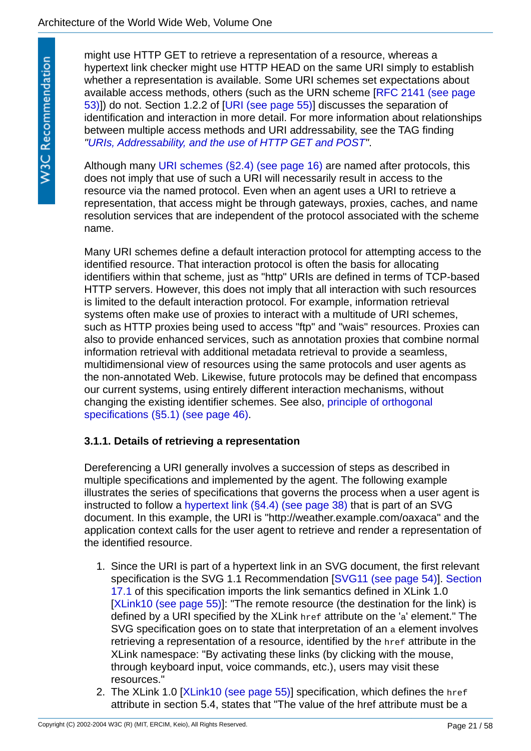might use HTTP GET to retrieve a representation of a resource, whereas a hypertext link checker might use HTTP HEAD on the same URI simply to establish whether a representation is available. Some URI schemes set expectations about [available access methods, others \(such as the URN scheme \[RFC 2141 \(see page](#page-52-1)  53)]) do not. Section 1.2.2 of [\[URI \(see page 55\)](#page-54-1)] discusses the separation of identification and interaction in more detail. For more information about relationships between multiple access methods and URI addressability, see the TAG finding *"[URIs, Addressability, and the use of HTTP GET and POST](http://www.w3.org/2001/tag/doc/whenToUseGet.html)"*.

Although many [URI schemes \(§2.4\) \(see page 16\)](#page-15-0) are named after protocols, this does not imply that use of such a URI will necessarily result in access to the resource via the named protocol. Even when an agent uses a URI to retrieve a representation, that access might be through gateways, proxies, caches, and name resolution services that are independent of the protocol associated with the scheme name.

Many URI schemes define a default interaction protocol for attempting access to the identified resource. That interaction protocol is often the basis for allocating identifiers within that scheme, just as "http" URIs are defined in terms of TCP-based HTTP servers. However, this does not imply that all interaction with such resources is limited to the default interaction protocol. For example, information retrieval systems often make use of proxies to interact with a multitude of URI schemes, such as HTTP proxies being used to access "ftp" and "wais" resources. Proxies can also to provide enhanced services, such as annotation proxies that combine normal information retrieval with additional metadata retrieval to provide a seamless, multidimensional view of resources using the same protocols and user agents as the non-annotated Web. Likewise, future protocols may be defined that encompass our current systems, using entirely different interaction mechanisms, without [changing the existing identifier schemes. See also, principle of orthogonal](#page-45-1)  specifications (§5.1) (see page 46).

## <span id="page-20-0"></span>**3.1.1. Details of retrieving a representation**

Dereferencing a URI generally involves a succession of steps as described in multiple specifications and implemented by the agent. The following example illustrates the series of specifications that governs the process when a user agent is instructed to follow a [hypertext link \(§4.4\) \(see page 38\)](#page-37-0) that is part of an SVG document. In this example, the URI is "http://weather.example.com/oaxaca" and the application context calls for the user agent to retrieve and render a representation of the identified resource.

- 1. Since the URI is part of a hypertext link in an SVG document, the first relevant [specification is the SVG 1.1 Recommendation \[](http://www.w3.org/TR/SVG11/linking.html#Links)[SVG11 \(see page 54](#page-53-3)[\)\]. Section](http://www.w3.org/TR/SVG11/linking.html#Links)  17.1 of this specification imports the link semantics defined in XLink 1.0 [[XLink10 \(see page 55\)\]](#page-54-2): "The remote resource (the destination for the link) is defined by a URI specified by the XLink href attribute on the 'a' element." The SVG specification goes on to state that interpretation of an a element involves retrieving a representation of a resource, identified by the href attribute in the XLink namespace: "By activating these links (by clicking with the mouse, through keyboard input, voice commands, etc.), users may visit these resources."
- 2. The XLink 1.0 [\[XLink10 \(see page 55\)\]](#page-54-2) specification, which defines the href attribute in section 5.4, states that "The value of the href attribute must be a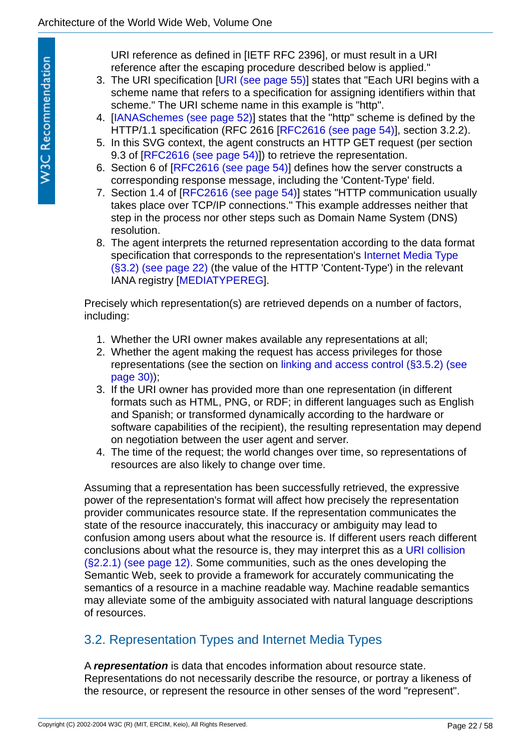URI reference as defined in [IETF RFC 2396], or must result in a URI reference after the escaping procedure described below is applied."

- 3. The URI specification [\[URI \(see page 55\)](#page-54-1)] states that "Each URI begins with a scheme name that refers to a specification for assigning identifiers within that scheme." The URI scheme name in this example is "http".
- 4. [[IANASchemes \(see page 52\)](#page-51-2)] states that the "http" scheme is defined by the HTTP/1.1 specification (RFC 2616 [[RFC2616 \(see page 54\)](#page-53-0)], section 3.2.2).
- 5. In this SVG context, the agent constructs an HTTP GET request (per section 9.3 of IRFC2616 (see page 54)]) to retrieve the representation.
- 6. Section 6 of [\[RFC2616 \(see page 54\)](#page-53-0)] defines how the server constructs a corresponding response message, including the 'Content-Type' field.
- 7. Section 1.4 of [\[RFC2616 \(see page 54\)](#page-53-0)] states "HTTP communication usually takes place over TCP/IP connections." This example addresses neither that step in the process nor other steps such as Domain Name System (DNS) resolution.
- 8. The agent interprets the returned representation according to the data format [specification that corresponds to the representation's Internet Media Type](#page-21-0)  (§3.2) (see page 22) (the value of the HTTP 'Content-Type') in the relevant IANA registry [\[MEDIATYPEREG](#page-51-4)].

Precisely which representation(s) are retrieved depends on a number of factors, including:

- 1. Whether the URI owner makes available any representations at all;
- 2. Whether the agent making the request has access privileges for those [representations \(see the section on linking and access control \(§3.5.2\) \(see](#page-29-0)  page 30));
- 3. If the URI owner has provided more than one representation (in different formats such as HTML, PNG, or RDF; in different languages such as English and Spanish; or transformed dynamically according to the hardware or software capabilities of the recipient), the resulting representation may depend on negotiation between the user agent and server.
- 4. The time of the request; the world changes over time, so representations of resources are also likely to change over time.

Assuming that a representation has been successfully retrieved, the expressive power of the representation's format will affect how precisely the representation provider communicates resource state. If the representation communicates the state of the resource inaccurately, this inaccuracy or ambiguity may lead to confusion among users about what the resource is. If different users reach different [conclusions about what the resource is, they may interpret this as a URI collision](#page-11-0)  (§2.2.1) (see page 12). Some communities, such as the ones developing the Semantic Web, seek to provide a framework for accurately communicating the semantics of a resource in a machine readable way. Machine readable semantics may alleviate some of the ambiguity associated with natural language descriptions of resources.

# <span id="page-21-0"></span>3.2. Representation Types and Internet Media Types

<span id="page-21-1"></span>A *representation* is data that encodes information about resource state. Representations do not necessarily describe the resource, or portray a likeness of the resource, or represent the resource in other senses of the word "represent".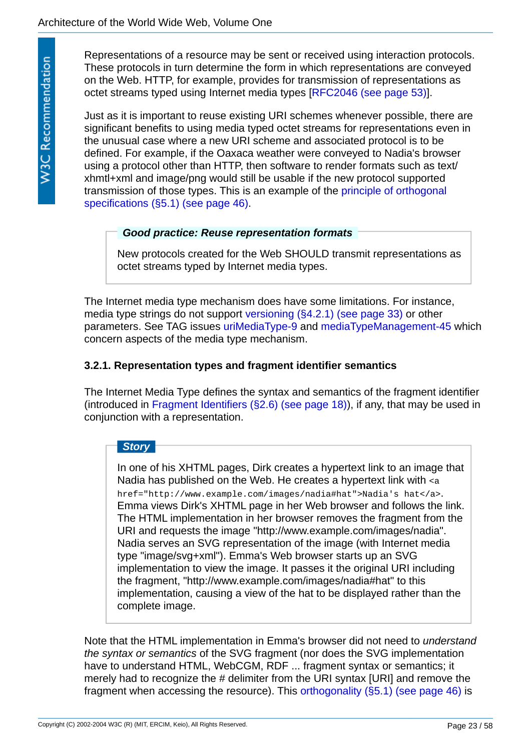Representations of a resource may be sent or received using interaction protocols. These protocols in turn determine the form in which representations are conveyed on the Web. HTTP, for example, provides for transmission of representations as octet streams typed using Internet media types [[RFC2046 \(see page 53\)](#page-52-4)].

Just as it is important to reuse existing URI schemes whenever possible, there are significant benefits to using media typed octet streams for representations even in the unusual case where a new URI scheme and associated protocol is to be defined. For example, if the Oaxaca weather were conveyed to Nadia's browser using a protocol other than HTTP, then software to render formats such as text/ xhmtl+xml and image/png would still be usable if the new protocol supported [transmission of those types. This is an example of the principle of orthogonal](#page-45-1)  specifications (§5.1) (see page 46).

### <span id="page-22-1"></span>*Good practice: Reuse representation formats*

New protocols created for the Web SHOULD transmit representations as octet streams typed by Internet media types.

The Internet media type mechanism does have some limitations. For instance, media type strings do not support [versioning \(§4.2.1\) \(see page 33\)](#page-32-1) or other parameters. See TAG issues [uriMediaType-9](http://www.w3.org/2001/tag/issues.html#uriMediaType-9) and [mediaTypeManagement-45](http://www.w3.org/2001/tag/issues.html#mediaTypeManagement-45) which concern aspects of the media type mechanism.

### <span id="page-22-0"></span>**3.2.1. Representation types and fragment identifier semantics**

The Internet Media Type defines the syntax and semantics of the fragment identifier (introduced in [Fragment Identifiers \(§2.6\) \(see page 18\)](#page-17-0)), if any, that may be used in conjunction with a representation.

### *Story*

In one of his XHTML pages, Dirk creates a hypertext link to an image that Nadia has published on the Web. He creates a hypertext link with <a href="http://www.example.com/images/nadia#hat">Nadia's hat</a>. Emma views Dirk's XHTML page in her Web browser and follows the link. The HTML implementation in her browser removes the fragment from the URI and requests the image "http://www.example.com/images/nadia". Nadia serves an SVG representation of the image (with Internet media type "image/svg+xml"). Emma's Web browser starts up an SVG implementation to view the image. It passes it the original URI including the fragment, "http://www.example.com/images/nadia#hat" to this implementation, causing a view of the hat to be displayed rather than the complete image.

Note that the HTML implementation in Emma's browser did not need to *understand the syntax or semantics* of the SVG fragment (nor does the SVG implementation have to understand HTML, WebCGM, RDF ... fragment syntax or semantics; it merely had to recognize the # delimiter from the URI syntax [URI] and remove the fragment when accessing the resource). This [orthogonality \(§5.1\) \(see page 46\)](#page-45-1) is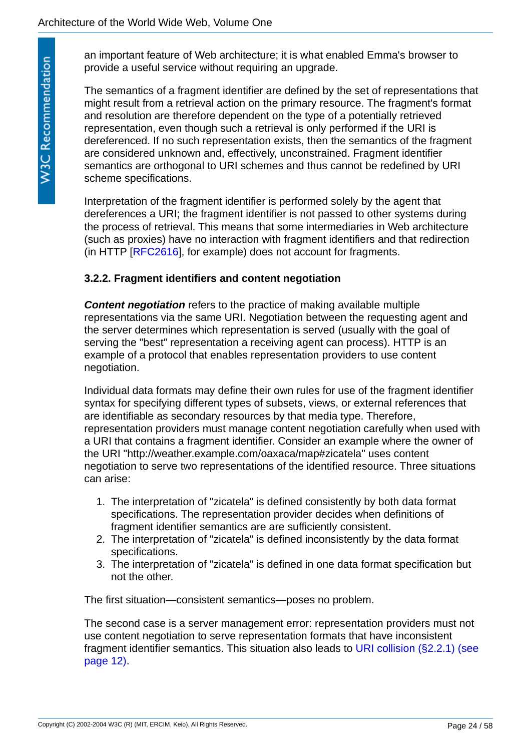an important feature of Web architecture; it is what enabled Emma's browser to provide a useful service without requiring an upgrade.

The semantics of a fragment identifier are defined by the set of representations that might result from a retrieval action on the primary resource. The fragment's format and resolution are therefore dependent on the type of a potentially retrieved representation, even though such a retrieval is only performed if the URI is dereferenced. If no such representation exists, then the semantics of the fragment are considered unknown and, effectively, unconstrained. Fragment identifier semantics are orthogonal to URI schemes and thus cannot be redefined by URI scheme specifications.

Interpretation of the fragment identifier is performed solely by the agent that dereferences a URI; the fragment identifier is not passed to other systems during the process of retrieval. This means that some intermediaries in Web architecture (such as proxies) have no interaction with fragment identifiers and that redirection (in HTTP [[RFC2616](#page-53-0)], for example) does not account for fragments.

### <span id="page-23-0"></span>**3.2.2. Fragment identifiers and content negotiation**

<span id="page-23-1"></span>*Content negotiation* refers to the practice of making available multiple representations via the same URI. Negotiation between the requesting agent and the server determines which representation is served (usually with the goal of serving the "best" representation a receiving agent can process). HTTP is an example of a protocol that enables representation providers to use content negotiation.

Individual data formats may define their own rules for use of the fragment identifier syntax for specifying different types of subsets, views, or external references that are identifiable as secondary resources by that media type. Therefore, representation providers must manage content negotiation carefully when used with a URI that contains a fragment identifier. Consider an example where the owner of the URI "http://weather.example.com/oaxaca/map#zicatela" uses content negotiation to serve two representations of the identified resource. Three situations can arise:

- 1. The interpretation of "zicatela" is defined consistently by both data format specifications. The representation provider decides when definitions of fragment identifier semantics are are sufficiently consistent.
- 2. The interpretation of "zicatela" is defined inconsistently by the data format specifications.
- 3. The interpretation of "zicatela" is defined in one data format specification but not the other.

The first situation—consistent semantics—poses no problem.

The second case is a server management error: representation providers must not use content negotiation to serve representation formats that have inconsistent [fragment identifier semantics. This situation also leads to URI collision \(§2.2.1\) \(see](#page-11-0)  page 12).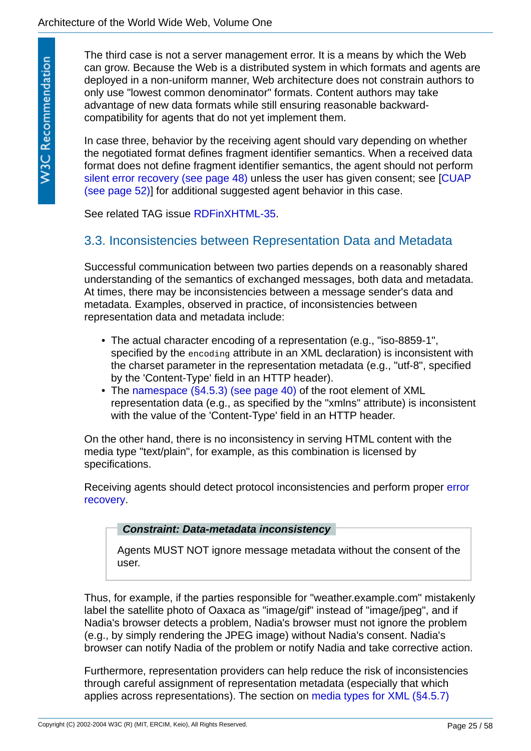The third case is not a server management error. It is a means by which the Web can grow. Because the Web is a distributed system in which formats and agents are deployed in a non-uniform manner, Web architecture does not constrain authors to only use "lowest common denominator" formats. Content authors may take advantage of new data formats while still ensuring reasonable backwardcompatibility for agents that do not yet implement them.

In case three, behavior by the receiving agent should vary depending on whether the negotiated format defines fragment identifier semantics. When a received data format does not define fragment identifier semantics, the agent should not perform [s](#page-51-5)[ilent error recovery \(see page 48\)](#page-47-1) [unless the user has given consent; see \[CUAP](#page-51-5) (see page 52)] for additional suggested agent behavior in this case.

See related TAG issue [RDFinXHTML-35](http://www.w3.org/2001/tag/issues.html#RDFinXHTML-35).

# <span id="page-24-0"></span>3.3. Inconsistencies between Representation Data and Metadata

Successful communication between two parties depends on a reasonably shared understanding of the semantics of exchanged messages, both data and metadata. At times, there may be inconsistencies between a message sender's data and metadata. Examples, observed in practice, of inconsistencies between representation data and metadata include:

- The actual character encoding of a representation (e.g., "iso-8859-1", specified by the encoding attribute in an XML declaration) is inconsistent with the charset parameter in the representation metadata (e.g., "utf-8", specified by the 'Content-Type' field in an HTTP header).
- The [namespace \(§4.5.3\) \(see page 40\)](#page-39-1) of the root element of XML representation data (e.g., as specified by the "xmlns" attribute) is inconsistent with the value of the 'Content-Type' field in an HTTP header.

On the other hand, there is no inconsistency in serving HTML content with the media type "text/plain", for example, as this combination is licensed by specifications.

[Receiving agents should detect protocol inconsistencies and perform proper error](#page-47-2)  recovery.

### <span id="page-24-1"></span>*Constraint: Data-metadata inconsistency*

Agents MUST NOT ignore message metadata without the consent of the user.

Thus, for example, if the parties responsible for "weather.example.com" mistakenly label the satellite photo of Oaxaca as "image/gif" instead of "image/jpeg", and if Nadia's browser detects a problem, Nadia's browser must not ignore the problem (e.g., by simply rendering the JPEG image) without Nadia's consent. Nadia's browser can notify Nadia of the problem or notify Nadia and take corrective action.

Furthermore, representation providers can help reduce the risk of inconsistencies through careful assignment of representation metadata (especially that which applies across representations). The section on [media types for XML \(§4.5.7\)](#page-43-0)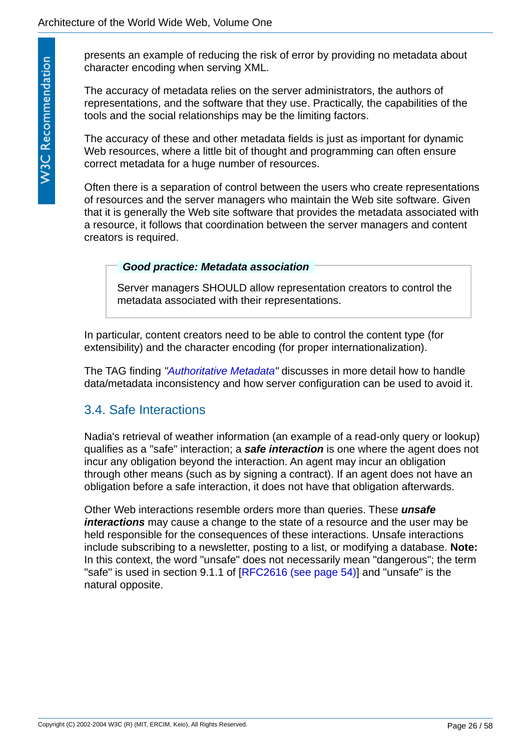presents an example of reducing the risk of error by providing no metadata about character encoding when serving XML.

The accuracy of metadata relies on the server administrators, the authors of representations, and the software that they use. Practically, the capabilities of the tools and the social relationships may be the limiting factors.

The accuracy of these and other metadata fields is just as important for dynamic Web resources, where a little bit of thought and programming can often ensure correct metadata for a huge number of resources.

Often there is a separation of control between the users who create representations of resources and the server managers who maintain the Web site software. Given that it is generally the Web site software that provides the metadata associated with a resource, it follows that coordination between the server managers and content creators is required.

### <span id="page-25-1"></span>*Good practice: Metadata association*

Server managers SHOULD allow representation creators to control the metadata associated with their representations.

In particular, content creators need to be able to control the content type (for extensibility) and the character encoding (for proper internationalization).

The TAG finding *["Authoritative Metadata](http://www.w3.org/2001/tag/doc/mime-respect.html)"* discusses in more detail how to handle data/metadata inconsistency and how server configuration can be used to avoid it.

# <span id="page-25-0"></span>3.4. Safe Interactions

<span id="page-25-3"></span>Nadia's retrieval of weather information (an example of a read-only query or lookup) qualifies as a "safe" interaction; a *safe interaction* is one where the agent does not incur any obligation beyond the interaction. An agent may incur an obligation through other means (such as by signing a contract). If an agent does not have an obligation before a safe interaction, it does not have that obligation afterwards.

<span id="page-25-2"></span>Other Web interactions resemble orders more than queries. These *unsafe interactions* may cause a change to the state of a resource and the user may be held responsible for the consequences of these interactions. Unsafe interactions include subscribing to a newsletter, posting to a list, or modifying a database. **Note:** In this context, the word "unsafe" does not necessarily mean "dangerous"; the term "safe" is used in section 9.1.1 of [[RFC2616 \(see page 54\)\]](#page-53-0) and "unsafe" is the natural opposite.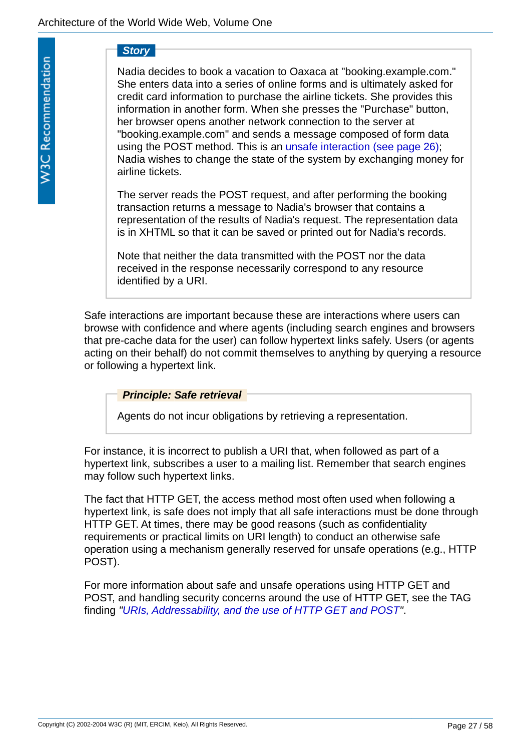*Story*

Nadia decides to book a vacation to Oaxaca at "booking.example.com." She enters data into a series of online forms and is ultimately asked for credit card information to purchase the airline tickets. She provides this information in another form. When she presses the "Purchase" button, her browser opens another network connection to the server at "booking.example.com" and sends a message composed of form data using the POST method. This is an [unsafe interaction \(see page 26\)](#page-25-2); Nadia wishes to change the state of the system by exchanging money for airline tickets.

The server reads the POST request, and after performing the booking transaction returns a message to Nadia's browser that contains a representation of the results of Nadia's request. The representation data is in XHTML so that it can be saved or printed out for Nadia's records.

Note that neither the data transmitted with the POST nor the data received in the response necessarily correspond to any resource identified by a URI.

Safe interactions are important because these are interactions where users can browse with confidence and where agents (including search engines and browsers that pre-cache data for the user) can follow hypertext links safely. Users (or agents acting on their behalf) do not commit themselves to anything by querying a resource or following a hypertext link.

<span id="page-26-0"></span>*Principle: Safe retrieval*

Agents do not incur obligations by retrieving a representation.

For instance, it is incorrect to publish a URI that, when followed as part of a hypertext link, subscribes a user to a mailing list. Remember that search engines may follow such hypertext links.

The fact that HTTP GET, the access method most often used when following a hypertext link, is safe does not imply that all safe interactions must be done through HTTP GET. At times, there may be good reasons (such as confidentiality requirements or practical limits on URI length) to conduct an otherwise safe operation using a mechanism generally reserved for unsafe operations (e.g., HTTP POST).

For more information about safe and unsafe operations using HTTP GET and POST, and handling security concerns around the use of HTTP GET, see the TAG finding *["URIs, Addressability, and the use of HTTP GET and POST](http://www.w3.org/2001/tag/doc/whenToUseGet.html)"*.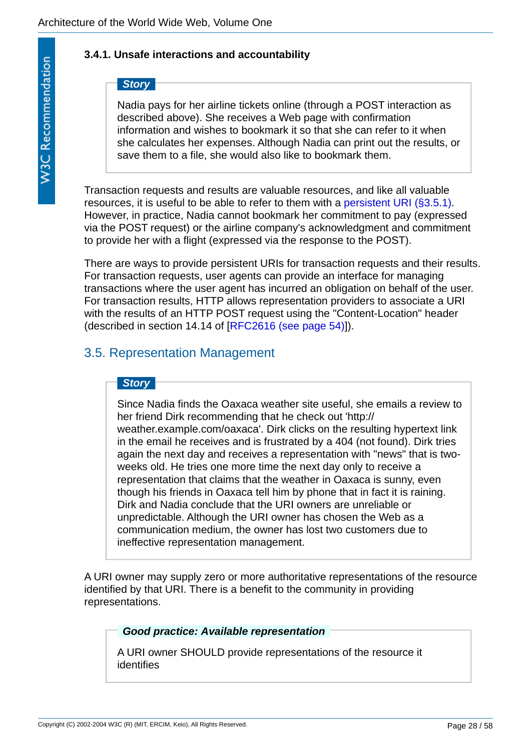## <span id="page-27-0"></span>**3.4.1. Unsafe interactions and accountability**

# *Story*

Nadia pays for her airline tickets online (through a POST interaction as described above). She receives a Web page with confirmation information and wishes to bookmark it so that she can refer to it when she calculates her expenses. Although Nadia can print out the results, or save them to a file, she would also like to bookmark them.

Transaction requests and results are valuable resources, and like all valuable resources, it is useful to be able to refer to them with a [persistent URI \(§3.5.1\)](#page-28-0). However, in practice, Nadia cannot bookmark her commitment to pay (expressed via the POST request) or the airline company's acknowledgment and commitment to provide her with a flight (expressed via the response to the POST).

There are ways to provide persistent URIs for transaction requests and their results. For transaction requests, user agents can provide an interface for managing transactions where the user agent has incurred an obligation on behalf of the user. For transaction results, HTTP allows representation providers to associate a URI with the results of an HTTP POST request using the "Content-Location" header (described in section 14.14 of [[RFC2616 \(see page 54\)](#page-53-0)]).

# <span id="page-27-1"></span>3.5. Representation Management

### *Story*

Since Nadia finds the Oaxaca weather site useful, she emails a review to her friend Dirk recommending that he check out 'http:// weather.example.com/oaxaca'. Dirk clicks on the resulting hypertext link in the email he receives and is frustrated by a 404 (not found). Dirk tries again the next day and receives a representation with "news" that is twoweeks old. He tries one more time the next day only to receive a representation that claims that the weather in Oaxaca is sunny, even though his friends in Oaxaca tell him by phone that in fact it is raining. Dirk and Nadia conclude that the URI owners are unreliable or unpredictable. Although the URI owner has chosen the Web as a communication medium, the owner has lost two customers due to ineffective representation management.

A URI owner may supply zero or more authoritative representations of the resource identified by that URI. There is a benefit to the community in providing representations.

## <span id="page-27-2"></span>*Good practice: Available representation*

A URI owner SHOULD provide representations of the resource it identifies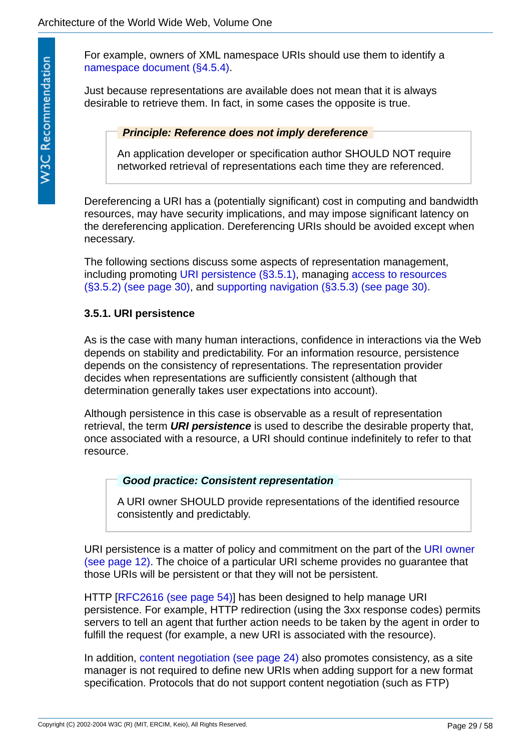For example, owners of XML namespace URIs should use them to identify a [namespace document \(§4.5.4\)](#page-40-0).

Just because representations are available does not mean that it is always desirable to retrieve them. In fact, in some cases the opposite is true.

*Principle: Reference does not imply dereference*

An application developer or specification author SHOULD NOT require networked retrieval of representations each time they are referenced.

<span id="page-28-1"></span>Dereferencing a URI has a (potentially significant) cost in computing and bandwidth resources, may have security implications, and may impose significant latency on the dereferencing application. Dereferencing URIs should be avoided except when necessary.

The following sections discuss some aspects of representation management, [including promoting U](#page-29-0)[RI persistence \(§3.5.1\)](#page-28-0)[, managing access to resources](#page-29-0)  (§3.5.2) (see page 30), and [supporting navigation \(§3.5.3\) \(see page 30\)](#page-29-1).

### <span id="page-28-0"></span>**3.5.1. URI persistence**

As is the case with many human interactions, confidence in interactions via the Web depends on stability and predictability. For an information resource, persistence depends on the consistency of representations. The representation provider decides when representations are sufficiently consistent (although that determination generally takes user expectations into account).

Although persistence in this case is observable as a result of representation retrieval, the term *URI persistence* is used to describe the desirable property that, once associated with a resource, a URI should continue indefinitely to refer to that resource.

### <span id="page-28-3"></span><span id="page-28-2"></span>*Good practice: Consistent representation*

A URI owner SHOULD provide representations of the identified resource consistently and predictably.

[URI persistence is a matter of policy and commitment on the part of the URI owner](#page-11-2) (see page 12). The choice of a particular URI scheme provides no guarantee that those URIs will be persistent or that they will not be persistent.

HTTP [\[RFC2616 \(see page 54\)\]](#page-53-0) has been designed to help manage URI persistence. For example, HTTP redirection (using the 3xx response codes) permits servers to tell an agent that further action needs to be taken by the agent in order to fulfill the request (for example, a new URI is associated with the resource).

In addition, [content negotiation \(see page 24\)](#page-23-1) also promotes consistency, as a site manager is not required to define new URIs when adding support for a new format specification. Protocols that do not support content negotiation (such as FTP)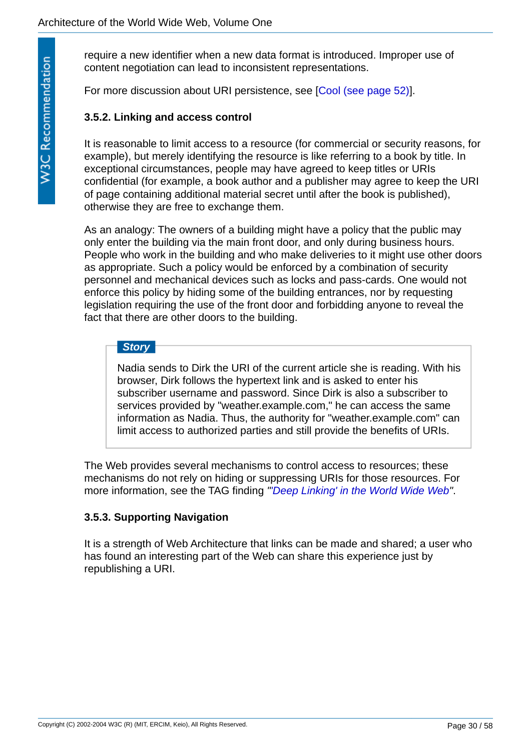require a new identifier when a new data format is introduced. Improper use of content negotiation can lead to inconsistent representations.

For more discussion about URI persistence, see [\[Cool \(see page 52\)](#page-51-6)].

### <span id="page-29-0"></span>**3.5.2. Linking and access control**

It is reasonable to limit access to a resource (for commercial or security reasons, for example), but merely identifying the resource is like referring to a book by title. In exceptional circumstances, people may have agreed to keep titles or URIs confidential (for example, a book author and a publisher may agree to keep the URI of page containing additional material secret until after the book is published), otherwise they are free to exchange them.

As an analogy: The owners of a building might have a policy that the public may only enter the building via the main front door, and only during business hours. People who work in the building and who make deliveries to it might use other doors as appropriate. Such a policy would be enforced by a combination of security personnel and mechanical devices such as locks and pass-cards. One would not enforce this policy by hiding some of the building entrances, nor by requesting legislation requiring the use of the front door and forbidding anyone to reveal the fact that there are other doors to the building.

### *Story*

Nadia sends to Dirk the URI of the current article she is reading. With his browser, Dirk follows the hypertext link and is asked to enter his subscriber username and password. Since Dirk is also a subscriber to services provided by "weather.example.com," he can access the same information as Nadia. Thus, the authority for "weather.example.com" can limit access to authorized parties and still provide the benefits of URIs.

The Web provides several mechanisms to control access to resources; these mechanisms do not rely on hiding or suppressing URIs for those resources. For more information, see the TAG finding *"['Deep Linking' in the World Wide Web"](http://www.w3.org/2001/tag/doc/deeplinking.html)*.

### <span id="page-29-1"></span>**3.5.3. Supporting Navigation**

It is a strength of Web Architecture that links can be made and shared; a user who has found an interesting part of the Web can share this experience just by republishing a URI.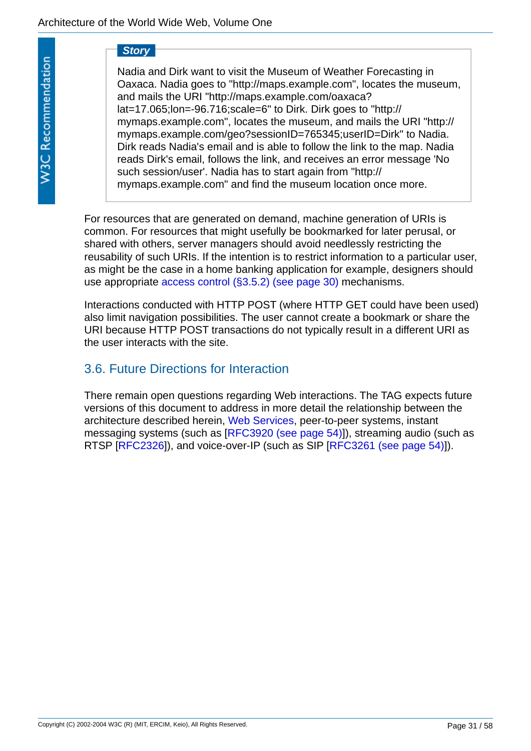### *Story*

Nadia and Dirk want to visit the Museum of Weather Forecasting in Oaxaca. Nadia goes to "http://maps.example.com", locates the museum, and mails the URI "http://maps.example.com/oaxaca? lat=17.065;lon=-96.716;scale=6" to Dirk. Dirk goes to "http:// mymaps.example.com", locates the museum, and mails the URI "http:// mymaps.example.com/geo?sessionID=765345;userID=Dirk" to Nadia. Dirk reads Nadia's email and is able to follow the link to the map. Nadia reads Dirk's email, follows the link, and receives an error message 'No such session/user'. Nadia has to start again from "http:// mymaps.example.com" and find the museum location once more.

For resources that are generated on demand, machine generation of URIs is common. For resources that might usefully be bookmarked for later perusal, or shared with others, server managers should avoid needlessly restricting the reusability of such URIs. If the intention is to restrict information to a particular user, as might be the case in a home banking application for example, designers should use appropriate [access control \(§3.5.2\) \(see page 30\)](#page-29-0) mechanisms.

Interactions conducted with HTTP POST (where HTTP GET could have been used) also limit navigation possibilities. The user cannot create a bookmark or share the URI because HTTP POST transactions do not typically result in a different URI as the user interacts with the site.

# <span id="page-30-0"></span>3.6. Future Directions for Interaction

There remain open questions regarding Web interactions. The TAG expects future versions of this document to address in more detail the relationship between the architecture described herein, [Web Services,](http://www.w3.org/2002/ws/) peer-to-peer systems, instant messaging systems (such as [\[RFC3920 \(see page 54\)\]](#page-53-4)), streaming audio (such as RTSP [[RFC2326](#page-52-5)]), and voice-over-IP (such as SIP [[RFC3261 \(see page 54\)](#page-53-5)]).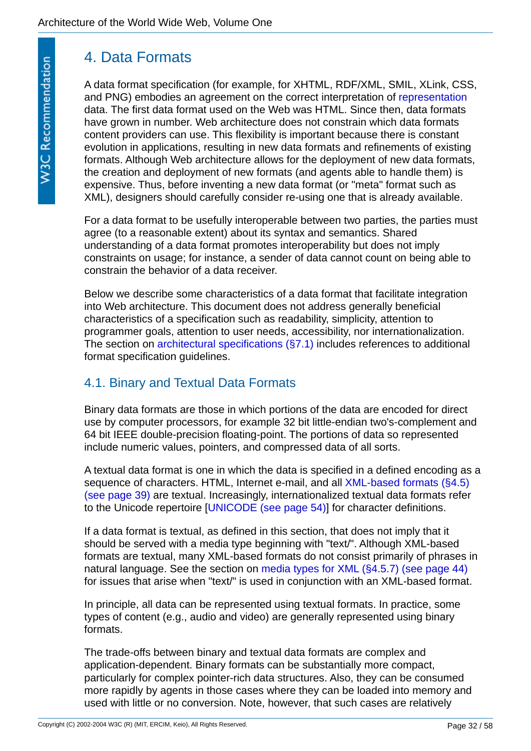# <span id="page-31-0"></span>4. Data Formats

A data format specification (for example, for XHTML, RDF/XML, SMIL, XLink, CSS, and PNG) embodies an agreement on the correct interpretation of [representation](#page-21-1) data. The first data format used on the Web was HTML. Since then, data formats have grown in number. Web architecture does not constrain which data formats content providers can use. This flexibility is important because there is constant evolution in applications, resulting in new data formats and refinements of existing formats. Although Web architecture allows for the deployment of new data formats, the creation and deployment of new formats (and agents able to handle them) is expensive. Thus, before inventing a new data format (or "meta" format such as XML), designers should carefully consider re-using one that is already available.

For a data format to be usefully interoperable between two parties, the parties must agree (to a reasonable extent) about its syntax and semantics. Shared understanding of a data format promotes interoperability but does not imply constraints on usage; for instance, a sender of data cannot count on being able to constrain the behavior of a data receiver.

Below we describe some characteristics of a data format that facilitate integration into Web architecture. This document does not address generally beneficial characteristics of a specification such as readability, simplicity, attention to programmer goals, attention to user needs, accessibility, nor internationalization. The section on [architectural specifications \(§7.1\)](#page-55-0) includes references to additional format specification guidelines.

# <span id="page-31-1"></span>4.1. Binary and Textual Data Formats

Binary data formats are those in which portions of the data are encoded for direct use by computer processors, for example 32 bit little-endian two's-complement and 64 bit IEEE double-precision floating-point. The portions of data so represented include numeric values, pointers, and compressed data of all sorts.

A textual data format is one in which the data is specified in a defined encoding as a sequence of characters. HTML, Internet e-mail, and all XML-based formats (§4.5) [\(see page 39\) are textual. Increasingly, internationalized textual data formats refer](#page-38-1) to the Unicode repertoire [\[UNICODE \(see page 54\)\]](#page-53-6) for character definitions.

If a data format is textual, as defined in this section, that does not imply that it should be served with a media type beginning with "text/". Although XML-based formats are textual, many XML-based formats do not consist primarily of phrases in natural language. See the section on [media types for XML \(§4.5.7\) \(see page 44\)](#page-43-0) for issues that arise when "text/" is used in conjunction with an XML-based format.

In principle, all data can be represented using textual formats. In practice, some types of content (e.g., audio and video) are generally represented using binary formats.

The trade-offs between binary and textual data formats are complex and application-dependent. Binary formats can be substantially more compact, particularly for complex pointer-rich data structures. Also, they can be consumed more rapidly by agents in those cases where they can be loaded into memory and used with little or no conversion. Note, however, that such cases are relatively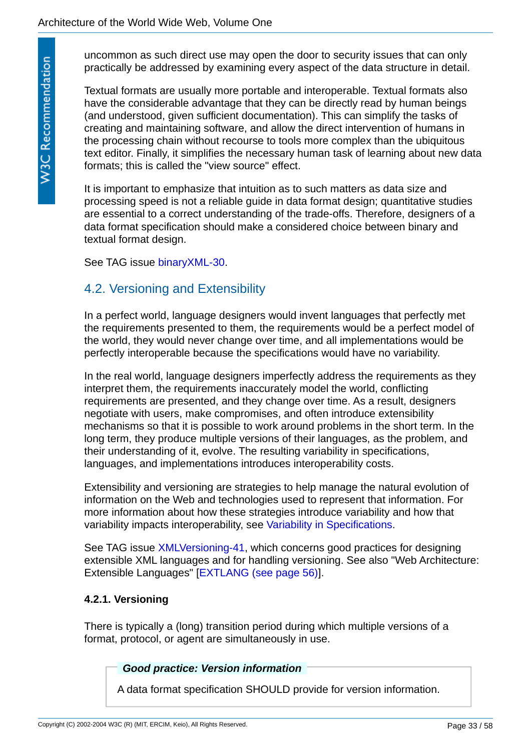**W3C Recommendation** 

uncommon as such direct use may open the door to security issues that can only practically be addressed by examining every aspect of the data structure in detail.

Textual formats are usually more portable and interoperable. Textual formats also have the considerable advantage that they can be directly read by human beings (and understood, given sufficient documentation). This can simplify the tasks of creating and maintaining software, and allow the direct intervention of humans in the processing chain without recourse to tools more complex than the ubiquitous text editor. Finally, it simplifies the necessary human task of learning about new data formats; this is called the "view source" effect.

It is important to emphasize that intuition as to such matters as data size and processing speed is not a reliable guide in data format design; quantitative studies are essential to a correct understanding of the trade-offs. Therefore, designers of a data format specification should make a considered choice between binary and textual format design.

See TAG issue [binaryXML-30](http://www.w3.org/2001/tag/issues.html#binaryXML-30).

# <span id="page-32-0"></span>4.2. Versioning and Extensibility

In a perfect world, language designers would invent languages that perfectly met the requirements presented to them, the requirements would be a perfect model of the world, they would never change over time, and all implementations would be perfectly interoperable because the specifications would have no variability.

In the real world, language designers imperfectly address the requirements as they interpret them, the requirements inaccurately model the world, conflicting requirements are presented, and they change over time. As a result, designers negotiate with users, make compromises, and often introduce extensibility mechanisms so that it is possible to work around problems in the short term. In the long term, they produce multiple versions of their languages, as the problem, and their understanding of it, evolve. The resulting variability in specifications, languages, and implementations introduces interoperability costs.

Extensibility and versioning are strategies to help manage the natural evolution of information on the Web and technologies used to represent that information. For more information about how these strategies introduce variability and how that variability impacts interoperability, see [Variability in Specifications.](#page-56-0)

See TAG issue [XMLVersioning-41](http://www.w3.org/2001/tag/issues.html#XMLVersioning-41), which concerns good practices for designing extensible XML languages and for handling versioning. See also "Web Architecture: Extensible Languages" [\[EXTLANG \(see page 56\)\]](#page-55-1).

### <span id="page-32-1"></span>**4.2.1. Versioning**

There is typically a (long) transition period during which multiple versions of a format, protocol, or agent are simultaneously in use.

### <span id="page-32-2"></span>*Good practice: Version information*

A data format specification SHOULD provide for version information.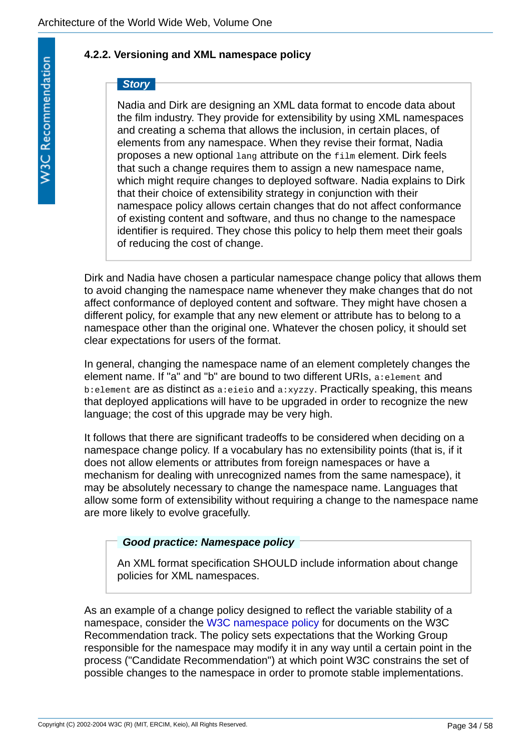## <span id="page-33-0"></span>**4.2.2. Versioning and XML namespace policy**

# *Story*

Nadia and Dirk are designing an XML data format to encode data about the film industry. They provide for extensibility by using XML namespaces and creating a schema that allows the inclusion, in certain places, of elements from any namespace. When they revise their format, Nadia proposes a new optional lang attribute on the film element. Dirk feels that such a change requires them to assign a new namespace name, which might require changes to deployed software. Nadia explains to Dirk that their choice of extensibility strategy in conjunction with their namespace policy allows certain changes that do not affect conformance of existing content and software, and thus no change to the namespace identifier is required. They chose this policy to help them meet their goals of reducing the cost of change.

Dirk and Nadia have chosen a particular namespace change policy that allows them to avoid changing the namespace name whenever they make changes that do not affect conformance of deployed content and software. They might have chosen a different policy, for example that any new element or attribute has to belong to a namespace other than the original one. Whatever the chosen policy, it should set clear expectations for users of the format.

In general, changing the namespace name of an element completely changes the element name. If "a" and "b" are bound to two different URIs, a:element and b:element are as distinct as a:eieio and a:xyzzy. Practically speaking, this means that deployed applications will have to be upgraded in order to recognize the new language; the cost of this upgrade may be very high.

It follows that there are significant tradeoffs to be considered when deciding on a namespace change policy. If a vocabulary has no extensibility points (that is, if it does not allow elements or attributes from foreign namespaces or have a mechanism for dealing with unrecognized names from the same namespace), it may be absolutely necessary to change the namespace name. Languages that allow some form of extensibility without requiring a change to the namespace name are more likely to evolve gracefully.

## <span id="page-33-1"></span>*Good practice: Namespace policy*

An XML format specification SHOULD include information about change policies for XML namespaces.

As an example of a change policy designed to reflect the variable stability of a namespace, consider the [W3C namespace policy](http://www.w3.org/1999/10/nsuri) for documents on the W3C Recommendation track. The policy sets expectations that the Working Group responsible for the namespace may modify it in any way until a certain point in the process ("Candidate Recommendation") at which point W3C constrains the set of possible changes to the namespace in order to promote stable implementations.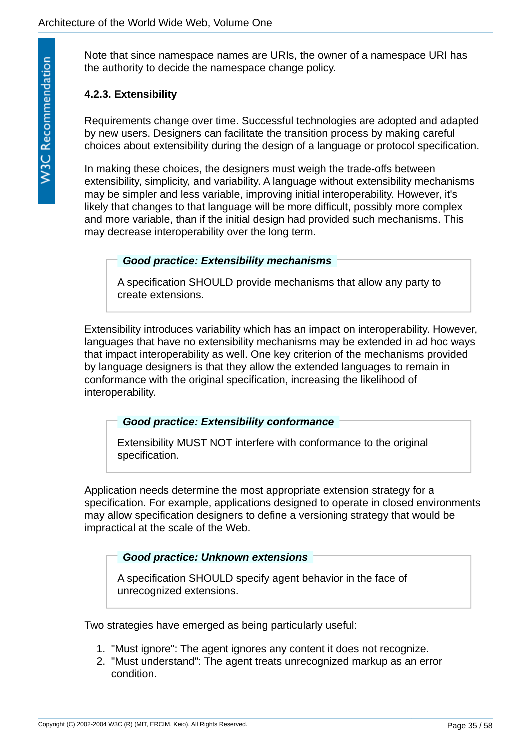Note that since namespace names are URIs, the owner of a namespace URI has the authority to decide the namespace change policy.

### <span id="page-34-0"></span>**4.2.3. Extensibility**

Requirements change over time. Successful technologies are adopted and adapted by new users. Designers can facilitate the transition process by making careful choices about extensibility during the design of a language or protocol specification.

In making these choices, the designers must weigh the trade-offs between extensibility, simplicity, and variability. A language without extensibility mechanisms may be simpler and less variable, improving initial interoperability. However, it's likely that changes to that language will be more difficult, possibly more complex and more variable, than if the initial design had provided such mechanisms. This may decrease interoperability over the long term.

### <span id="page-34-1"></span>*Good practice: Extensibility mechanisms*

A specification SHOULD provide mechanisms that allow any party to create extensions.

Extensibility introduces variability which has an impact on interoperability. However, languages that have no extensibility mechanisms may be extended in ad hoc ways that impact interoperability as well. One key criterion of the mechanisms provided by language designers is that they allow the extended languages to remain in conformance with the original specification, increasing the likelihood of interoperability.

### <span id="page-34-2"></span>*Good practice: Extensibility conformance*

Extensibility MUST NOT interfere with conformance to the original specification.

Application needs determine the most appropriate extension strategy for a specification. For example, applications designed to operate in closed environments may allow specification designers to define a versioning strategy that would be impractical at the scale of the Web.

### <span id="page-34-3"></span>*Good practice: Unknown extensions*

A specification SHOULD specify agent behavior in the face of unrecognized extensions.

Two strategies have emerged as being particularly useful:

- 1. "Must ignore": The agent ignores any content it does not recognize.
- 2. "Must understand": The agent treats unrecognized markup as an error condition.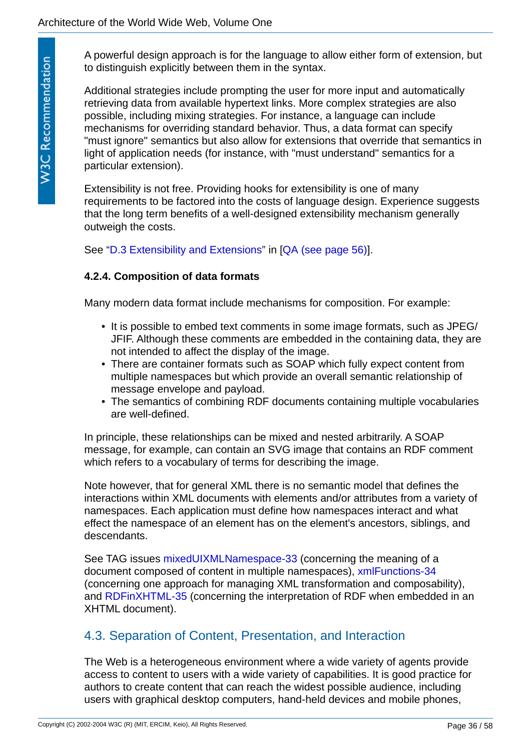A powerful design approach is for the language to allow either form of extension, but to distinguish explicitly between them in the syntax.

Additional strategies include prompting the user for more input and automatically retrieving data from available hypertext links. More complex strategies are also possible, including mixing strategies. For instance, a language can include mechanisms for overriding standard behavior. Thus, a data format can specify "must ignore" semantics but also allow for extensions that override that semantics in light of application needs (for instance, with "must understand" semantics for a particular extension).

Extensibility is not free. Providing hooks for extensibility is one of many requirements to be factored into the costs of language design. Experience suggests that the long term benefits of a well-designed extensibility mechanism generally outweigh the costs.

See "[D.3 Extensibility and Extensions](http://www.w3.org/TR/qaframe-spec/#extensions)" in [[QA \(see page 56\)\]](#page-55-2).

## <span id="page-35-0"></span>**4.2.4. Composition of data formats**

Many modern data format include mechanisms for composition. For example:

- It is possible to embed text comments in some image formats, such as JPEG/ JFIF. Although these comments are embedded in the containing data, they are not intended to affect the display of the image.
- There are container formats such as SOAP which fully expect content from multiple namespaces but which provide an overall semantic relationship of message envelope and payload.
- The semantics of combining RDF documents containing multiple vocabularies are well-defined.

In principle, these relationships can be mixed and nested arbitrarily. A SOAP message, for example, can contain an SVG image that contains an RDF comment which refers to a vocabulary of terms for describing the image.

Note however, that for general XML there is no semantic model that defines the interactions within XML documents with elements and/or attributes from a variety of namespaces. Each application must define how namespaces interact and what effect the namespace of an element has on the element's ancestors, siblings, and descendants.

See TAG issues [mixedUIXMLNamespace-33](http://www.w3.org/2001/tag/issues.html#mixedUIXMLNamespace-33) (concerning the meaning of a document composed of content in multiple namespaces), [xmlFunctions-34](http://www.w3.org/2001/tag/issues.html#xmlFunctions-34) (concerning one approach for managing XML transformation and composability), and [RDFinXHTML-35](http://www.w3.org/2001/tag/issues.html#RDFinXHTML-35) (concerning the interpretation of RDF when embedded in an XHTML document).

# <span id="page-35-1"></span>4.3. Separation of Content, Presentation, and Interaction

The Web is a heterogeneous environment where a wide variety of agents provide access to content to users with a wide variety of capabilities. It is good practice for authors to create content that can reach the widest possible audience, including users with graphical desktop computers, hand-held devices and mobile phones,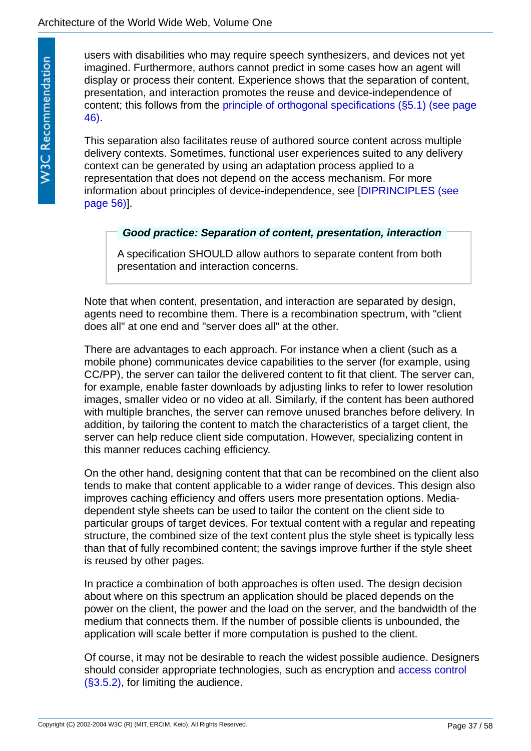users with disabilities who may require speech synthesizers, and devices not yet imagined. Furthermore, authors cannot predict in some cases how an agent will display or process their content. Experience shows that the separation of content, presentation, and interaction promotes the reuse and device-independence of [content; this follows from the principle of orthogonal specifications \(§5.1\) \(see page](#page-45-1)  46).

This separation also facilitates reuse of authored source content across multiple delivery contexts. Sometimes, functional user experiences suited to any delivery context can be generated by using an adaptation process applied to a representation that does not depend on the access mechanism. For more [information about principles of device-independence, see \[DIPRINCIPLES \(see](#page-55-3)  page 56)].

### <span id="page-36-0"></span>*Good practice: Separation of content, presentation, interaction*

A specification SHOULD allow authors to separate content from both presentation and interaction concerns.

Note that when content, presentation, and interaction are separated by design, agents need to recombine them. There is a recombination spectrum, with "client does all" at one end and "server does all" at the other.

There are advantages to each approach. For instance when a client (such as a mobile phone) communicates device capabilities to the server (for example, using CC/PP), the server can tailor the delivered content to fit that client. The server can, for example, enable faster downloads by adjusting links to refer to lower resolution images, smaller video or no video at all. Similarly, if the content has been authored with multiple branches, the server can remove unused branches before delivery. In addition, by tailoring the content to match the characteristics of a target client, the server can help reduce client side computation. However, specializing content in this manner reduces caching efficiency.

On the other hand, designing content that that can be recombined on the client also tends to make that content applicable to a wider range of devices. This design also improves caching efficiency and offers users more presentation options. Mediadependent style sheets can be used to tailor the content on the client side to particular groups of target devices. For textual content with a regular and repeating structure, the combined size of the text content plus the style sheet is typically less than that of fully recombined content; the savings improve further if the style sheet is reused by other pages.

In practice a combination of both approaches is often used. The design decision about where on this spectrum an application should be placed depends on the power on the client, the power and the load on the server, and the bandwidth of the medium that connects them. If the number of possible clients is unbounded, the application will scale better if more computation is pushed to the client.

Of course, it may not be desirable to reach the widest possible audience. Designers [should consider appropriate technologies, such as encryption and access control](#page-29-0)  (§3.5.2), for limiting the audience.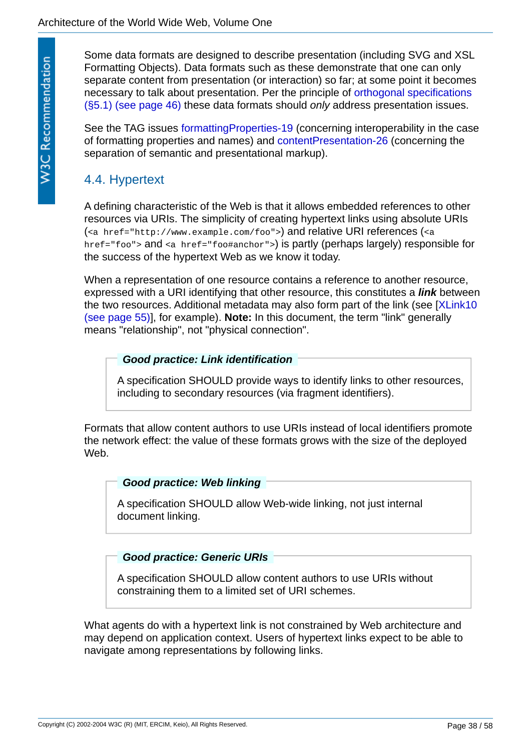Some data formats are designed to describe presentation (including SVG and XSL Formatting Objects). Data formats such as these demonstrate that one can only separate content from presentation (or interaction) so far; at some point it becomes [necessary to talk about presentation. Per the principle of orthogonal specifications](#page-45-1)  (§5.1) (see page 46) these data formats should *only* address presentation issues.

See the TAG issues [formattingProperties-19](http://www.w3.org/2001/tag/issues.html#formattingProperties-19) (concerning interoperability in the case of formatting properties and names) and [contentPresentation-26](http://www.w3.org/2001/tag/issues.html#contentPresentation-26) (concerning the separation of semantic and presentational markup).

# <span id="page-37-0"></span>4.4. Hypertext

A defining characteristic of the Web is that it allows embedded references to other resources via URIs. The simplicity of creating hypertext links using absolute URIs (<a href="http://www.example.com/foo">) and relative URI references (<a href="foo"> and <a href="foo#anchor">) is partly (perhaps largely) responsible for the success of the hypertext Web as we know it today.

When a representation of one resource contains a reference to another resource, expressed with a URI identifying that other resource, this constitutes a *link* between [the two resources. Additional metadata may also form part of the link \(see \[XLink10](#page-54-2) (see page 55)], for example). **Note:** In this document, the term "link" generally means "relationship", not "physical connection".

### <span id="page-37-4"></span><span id="page-37-1"></span>*Good practice: Link identification*

A specification SHOULD provide ways to identify links to other resources, including to secondary resources (via fragment identifiers).

Formats that allow content authors to use URIs instead of local identifiers promote the network effect: the value of these formats grows with the size of the deployed Web.

### <span id="page-37-2"></span>*Good practice: Web linking*

A specification SHOULD allow Web-wide linking, not just internal document linking.

### <span id="page-37-3"></span>*Good practice: Generic URIs*

A specification SHOULD allow content authors to use URIs without constraining them to a limited set of URI schemes.

What agents do with a hypertext link is not constrained by Web architecture and may depend on application context. Users of hypertext links expect to be able to navigate among representations by following links.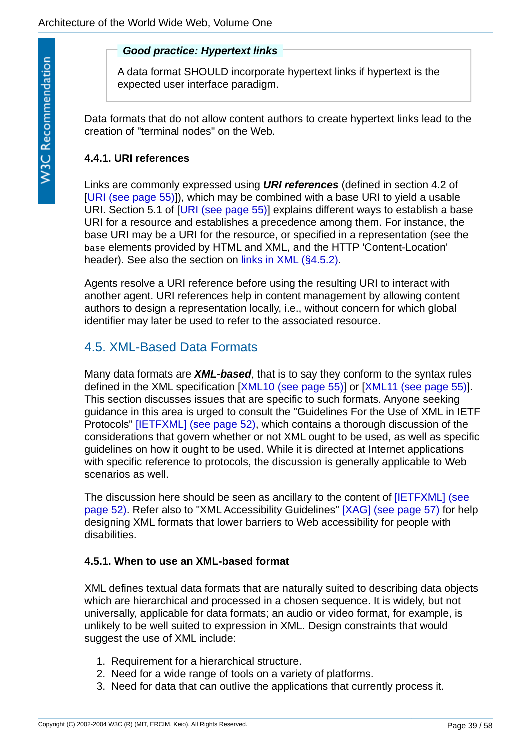### <span id="page-38-3"></span>*Good practice: Hypertext links*

A data format SHOULD incorporate hypertext links if hypertext is the expected user interface paradigm.

Data formats that do not allow content authors to create hypertext links lead to the creation of "terminal nodes" on the Web.

# <span id="page-38-0"></span>**4.4.1. URI references**

<span id="page-38-4"></span>Links are commonly expressed using *URI references* (defined in section 4.2 of [[URI \(see page 55\)\]](#page-54-1)), which may be combined with a base URI to yield a usable URI. Section 5.1 of [[URI \(see page 55\)\]](#page-54-1) explains different ways to establish a base URI for a resource and establishes a precedence among them. For instance, the base URI may be a URI for the resource, or specified in a representation (see the base elements provided by HTML and XML, and the HTTP 'Content-Location' header). See also the section on [links in XML \(§4.5.2\)](#page-39-0).

Agents resolve a URI reference before using the resulting URI to interact with another agent. URI references help in content management by allowing content authors to design a representation locally, i.e., without concern for which global identifier may later be used to refer to the associated resource.

# <span id="page-38-1"></span>4.5. XML-Based Data Formats

<span id="page-38-5"></span>Many data formats are *XML-based*, that is to say they conform to the syntax rules defined in the XML specification [\[XML10 \(see page 55\)](#page-54-3)] or [\[XML11 \(see page 55\)\]](#page-54-4). This section discusses issues that are specific to such formats. Anyone seeking guidance in this area is urged to consult the "Guidelines For the Use of XML in IETF Protocols" [\[IETFXML\] \(see page 52\),](#page-51-7) which contains a thorough discussion of the considerations that govern whether or not XML ought to be used, as well as specific guidelines on how it ought to be used. While it is directed at Internet applications with specific reference to protocols, the discussion is generally applicable to Web scenarios as well.

[The discussion here should be seen as ancillary to the content of \[IETFXML\] \(see](#page-51-7)  page 52). Refer also to "XML Accessibility Guidelines" [\[XAG\] \(see page 57\)](#page-56-1) for help designing XML formats that lower barriers to Web accessibility for people with disabilities.

## <span id="page-38-2"></span>**4.5.1. When to use an XML-based format**

XML defines textual data formats that are naturally suited to describing data objects which are hierarchical and processed in a chosen sequence. It is widely, but not universally, applicable for data formats; an audio or video format, for example, is unlikely to be well suited to expression in XML. Design constraints that would suggest the use of XML include:

- 1. Requirement for a hierarchical structure.
- 2. Need for a wide range of tools on a variety of platforms.
- 3. Need for data that can outlive the applications that currently process it.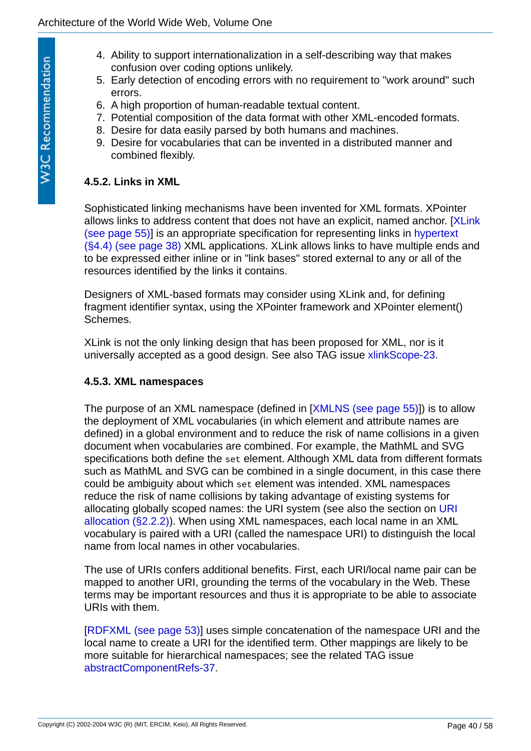- 4. Ability to support internationalization in a self-describing way that makes confusion over coding options unlikely.
- 5. Early detection of encoding errors with no requirement to "work around" such errors.
- 6. A high proportion of human-readable textual content.
- 7. Potential composition of the data format with other XML-encoded formats.
- 8. Desire for data easily parsed by both humans and machines.
- 9. Desire for vocabularies that can be invented in a distributed manner and combined flexibly.

### <span id="page-39-0"></span>**4.5.2. Links in XML**

Sophisticated linking mechanisms have been invented for XML formats. XPointer [allows links to address content that does not have an explicit, named anchor. \[XLink](#page-54-2) [\(see page 55\)\] is an appropriate specification for representing links in hypertext](#page-37-0)  (§4.4) (see page 38) XML applications. XLink allows links to have multiple ends and to be expressed either inline or in "link bases" stored external to any or all of the resources identified by the links it contains.

Designers of XML-based formats may consider using XLink and, for defining fragment identifier syntax, using the XPointer framework and XPointer element() Schemes.

XLink is not the only linking design that has been proposed for XML, nor is it universally accepted as a good design. See also TAG issue [xlinkScope-23](http://www.w3.org/2001/tag/issues.html#xlinkScope-23).

### <span id="page-39-1"></span>**4.5.3. XML namespaces**

The purpose of an XML namespace (defined in [[XMLNS \(see page 55\)](#page-54-5)]) is to allow the deployment of XML vocabularies (in which element and attribute names are defined) in a global environment and to reduce the risk of name collisions in a given document when vocabularies are combined. For example, the MathML and SVG specifications both define the set element. Although XML data from different formats such as MathML and SVG can be combined in a single document, in this case there could be ambiguity about which set element was intended. XML namespaces reduce the risk of name collisions by taking advantage of existing systems for allocating globally scoped names: the URI system (see also the section on URI [allocation \(§2.2.2\)\). When using XML namespaces, each local name in an XML](#page-11-1)  vocabulary is paired with a URI (called the namespace URI) to distinguish the local name from local names in other vocabularies.

The use of URIs confers additional benefits. First, each URI/local name pair can be mapped to another URI, grounding the terms of the vocabulary in the Web. These terms may be important resources and thus it is appropriate to be able to associate URIs with them.

[[RDFXML \(see page 53\)](#page-52-6)] uses simple concatenation of the namespace URI and the local name to create a URI for the identified term. Other mappings are likely to be more suitable for hierarchical namespaces; see the related TAG issue [abstractComponentRefs-37](http://www.w3.org/2001/tag/issues.html#abstractComponentRefs-37).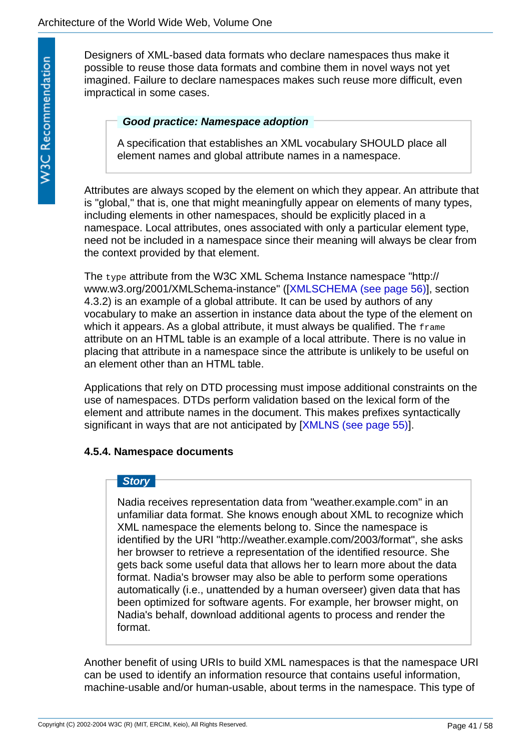Designers of XML-based data formats who declare namespaces thus make it possible to reuse those data formats and combine them in novel ways not yet imagined. Failure to declare namespaces makes such reuse more difficult, even impractical in some cases.

### <span id="page-40-1"></span>*Good practice: Namespace adoption*

A specification that establishes an XML vocabulary SHOULD place all element names and global attribute names in a namespace.

Attributes are always scoped by the element on which they appear. An attribute that is "global," that is, one that might meaningfully appear on elements of many types, including elements in other namespaces, should be explicitly placed in a namespace. Local attributes, ones associated with only a particular element type, need not be included in a namespace since their meaning will always be clear from the context provided by that element.

The type attribute from the W3C XML Schema Instance namespace "http:// www.w3.org/2001/XMLSchema-instance" ([[XMLSCHEMA \(see page 56\)](#page-55-4)], section 4.3.2) is an example of a global attribute. It can be used by authors of any vocabulary to make an assertion in instance data about the type of the element on which it appears. As a global attribute, it must always be qualified. The frame attribute on an HTML table is an example of a local attribute. There is no value in placing that attribute in a namespace since the attribute is unlikely to be useful on an element other than an HTML table.

Applications that rely on DTD processing must impose additional constraints on the use of namespaces. DTDs perform validation based on the lexical form of the element and attribute names in the document. This makes prefixes syntactically significant in ways that are not anticipated by [\[XMLNS \(see page 55\)\]](#page-54-5).

### <span id="page-40-0"></span>**4.5.4. Namespace documents**

### *Story*

Nadia receives representation data from "weather.example.com" in an unfamiliar data format. She knows enough about XML to recognize which XML namespace the elements belong to. Since the namespace is identified by the URI "http://weather.example.com/2003/format", she asks her browser to retrieve a representation of the identified resource. She gets back some useful data that allows her to learn more about the data format. Nadia's browser may also be able to perform some operations automatically (i.e., unattended by a human overseer) given data that has been optimized for software agents. For example, her browser might, on Nadia's behalf, download additional agents to process and render the format.

Another benefit of using URIs to build XML namespaces is that the namespace URI can be used to identify an information resource that contains useful information, machine-usable and/or human-usable, about terms in the namespace. This type of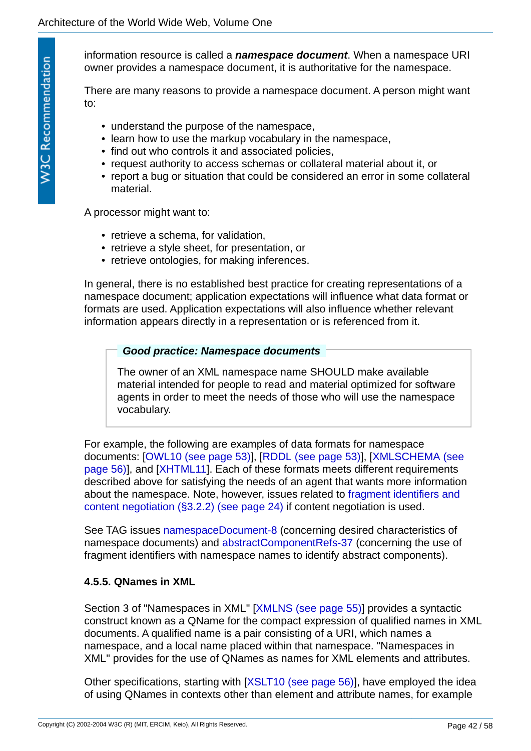<span id="page-41-2"></span>information resource is called a *namespace document*. When a namespace URI owner provides a namespace document, it is authoritative for the namespace.

There are many reasons to provide a namespace document. A person might want to:

- understand the purpose of the namespace,
- learn how to use the markup vocabulary in the namespace,
- find out who controls it and associated policies,
- request authority to access schemas or collateral material about it, or
- report a bug or situation that could be considered an error in some collateral material.

A processor might want to:

- retrieve a schema, for validation,
- retrieve a style sheet, for presentation, or
- retrieve ontologies, for making inferences.

In general, there is no established best practice for creating representations of a namespace document; application expectations will influence what data format or formats are used. Application expectations will also influence whether relevant information appears directly in a representation or is referenced from it.

### <span id="page-41-1"></span>*Good practice: Namespace documents*

The owner of an XML namespace name SHOULD make available material intended for people to read and material optimized for software agents in order to meet the needs of those who will use the namespace vocabulary.

For example, the following are examples of data formats for namespace [documents: \[OWL10 \(see page 53\)\], \[RDDL \(see page 53\)\], \[XMLSCHEMA \(see](#page-55-4)  page 56)], and [[XHTML11\]](#page-54-6). Each of these formats meets different requirements described above for satisfying the needs of an agent that wants more information [about the namespace. Note, however, issues related to fragment identifiers and](#page-23-0)  content negotiation (§3.2.2) (see page 24) if content negotiation is used.

See TAG issues [namespaceDocument-8](http://www.w3.org/2001/tag/issues.html#namespaceDocument-8) (concerning desired characteristics of namespace documents) and [abstractComponentRefs-37](http://www.w3.org/2001/tag/issues.html#abstractComponentRefs-37) (concerning the use of fragment identifiers with namespace names to identify abstract components).

### <span id="page-41-0"></span>**4.5.5. QNames in XML**

Section 3 of "Namespaces in XML" [[XMLNS \(see page 55\)\]](#page-54-5) provides a syntactic construct known as a QName for the compact expression of qualified names in XML documents. A qualified name is a pair consisting of a URI, which names a namespace, and a local name placed within that namespace. "Namespaces in XML" provides for the use of QNames as names for XML elements and attributes.

Other specifications, starting with [\[XSLT10 \(see page 56\)\]](#page-55-5), have employed the idea of using QNames in contexts other than element and attribute names, for example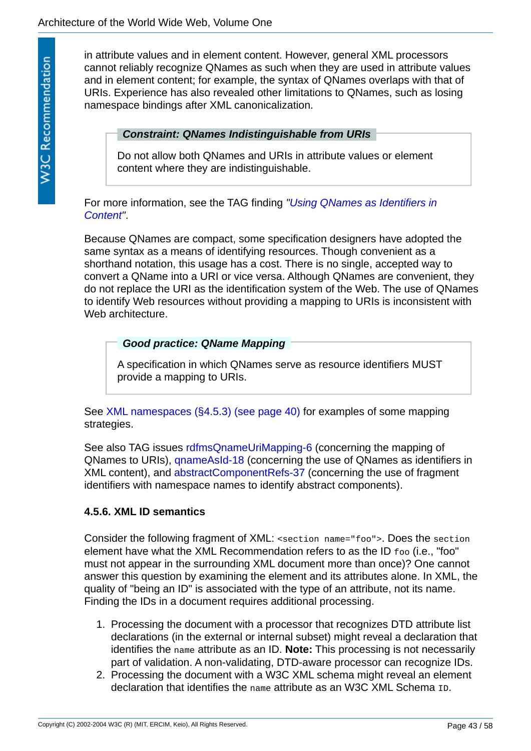in attribute values and in element content. However, general XML processors cannot reliably recognize QNames as such when they are used in attribute values and in element content; for example, the syntax of QNames overlaps with that of URIs. Experience has also revealed other limitations to QNames, such as losing namespace bindings after XML canonicalization.

### <span id="page-42-1"></span>*Constraint: QNames Indistinguishable from URIs*

Do not allow both QNames and URIs in attribute values or element content where they are indistinguishable.

[For more information, see the TAG finding](http://www.w3.org/2001/tag/doc/qnameids.html) *"Using QNames as Identifiers in Content"*.

Because QNames are compact, some specification designers have adopted the same syntax as a means of identifying resources. Though convenient as a shorthand notation, this usage has a cost. There is no single, accepted way to convert a QName into a URI or vice versa. Although QNames are convenient, they do not replace the URI as the identification system of the Web. The use of QNames to identify Web resources without providing a mapping to URIs is inconsistent with Web architecture.

### <span id="page-42-2"></span>*Good practice: QName Mapping*

A specification in which QNames serve as resource identifiers MUST provide a mapping to URIs.

See [XML namespaces \(§4.5.3\) \(see page 40\)](#page-39-1) for examples of some mapping strategies.

See also TAG issues [rdfmsQnameUriMapping-6](http://www.w3.org/2001/tag/issues.html#rdfmsQnameUriMapping-6) (concerning the mapping of QNames to URIs), [qnameAsId-18](http://www.w3.org/2001/tag/issues.html#qnameAsId-18) (concerning the use of QNames as identifiers in XML content), and [abstractComponentRefs-37](http://www.w3.org/2001/tag/issues.html#abstractComponentRefs-37) (concerning the use of fragment identifiers with namespace names to identify abstract components).

### <span id="page-42-0"></span>**4.5.6. XML ID semantics**

Consider the following fragment of XML: <section name="foo">. Does the section element have what the XML Recommendation refers to as the ID foo (i.e., "foo" must not appear in the surrounding XML document more than once)? One cannot answer this question by examining the element and its attributes alone. In XML, the quality of "being an ID" is associated with the type of an attribute, not its name. Finding the IDs in a document requires additional processing.

- 1. Processing the document with a processor that recognizes DTD attribute list declarations (in the external or internal subset) might reveal a declaration that identifies the name attribute as an ID. **Note:** This processing is not necessarily part of validation. A non-validating, DTD-aware processor can recognize IDs.
- 2. Processing the document with a W3C XML schema might reveal an element declaration that identifies the name attribute as an W3C XML Schema ID.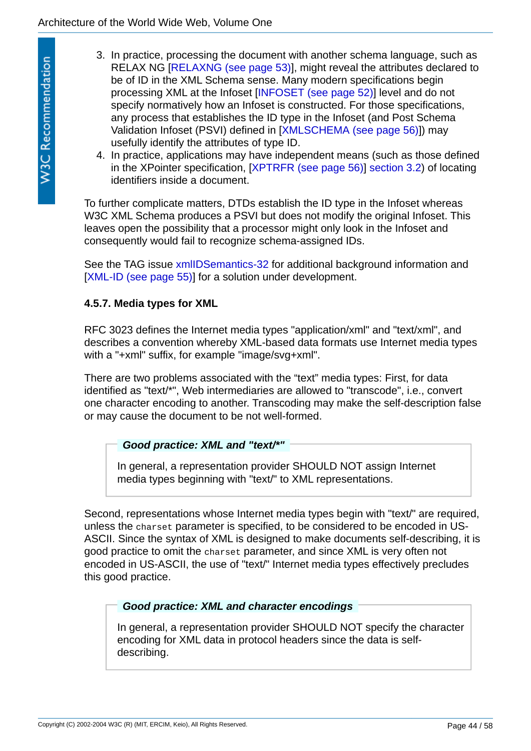- 3. In practice, processing the document with another schema language, such as RELAX NG [[RELAXNG \(see page 53\)](#page-52-8)], might reveal the attributes declared to be of ID in the XML Schema sense. Many modern specifications begin processing XML at the Infoset [\[INFOSET \(see page 52\)\]](#page-51-8) level and do not specify normatively how an Infoset is constructed. For those specifications, any process that establishes the ID type in the Infoset (and Post Schema Validation Infoset (PSVI) defined in [\[XMLSCHEMA \(see page 56\)\]](#page-55-4)) may usefully identify the attributes of type ID.
- 4. In practice, applications may have independent means (such as those defined in the XPointer specification, [\[XPTRFR \(see page 56\)\]](#page-55-6) [section 3.2](http://www.w3.org/TR/2003/REC-xptr-framework-20030325/#shorthand)) of locating identifiers inside a document.

To further complicate matters, DTDs establish the ID type in the Infoset whereas W3C XML Schema produces a PSVI but does not modify the original Infoset. This leaves open the possibility that a processor might only look in the Infoset and consequently would fail to recognize schema-assigned IDs.

See the TAG issue [xmlIDSemantics-32](http://www.w3.org/2001/tag/issues.html#xmlIDSemantics-32) for additional background information and [[XML-ID \(see page 55\)\]](#page-54-7) for a solution under development.

## <span id="page-43-0"></span>**4.5.7. Media types for XML**

RFC 3023 defines the Internet media types "application/xml" and "text/xml", and describes a convention whereby XML-based data formats use Internet media types with a "+xml" suffix, for example "image/svg+xml".

There are two problems associated with the "text" media types: First, for data identified as "text/\*", Web intermediaries are allowed to "transcode", i.e., convert one character encoding to another. Transcoding may make the self-description false or may cause the document to be not well-formed.

### <span id="page-43-1"></span>*Good practice: XML and "text/\*"*

In general, a representation provider SHOULD NOT assign Internet media types beginning with "text/" to XML representations.

Second, representations whose Internet media types begin with "text/" are required, unless the charset parameter is specified, to be considered to be encoded in US-ASCII. Since the syntax of XML is designed to make documents self-describing, it is good practice to omit the charset parameter, and since XML is very often not encoded in US-ASCII, the use of "text/" Internet media types effectively precludes this good practice.

## <span id="page-43-2"></span>*Good practice: XML and character encodings*

In general, a representation provider SHOULD NOT specify the character encoding for XML data in protocol headers since the data is selfdescribing.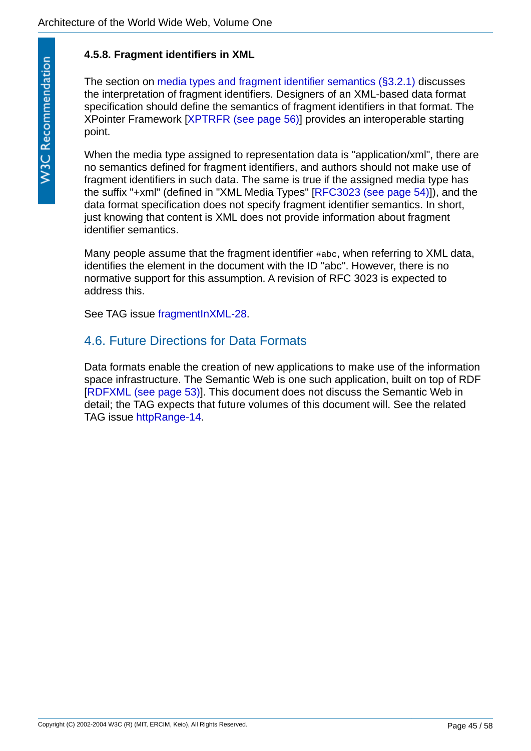# <span id="page-44-0"></span>**4.5.8. Fragment identifiers in XML**

The section on [media types and fragment identifier semantics \(§3.2.1\)](#page-22-0) discusses the interpretation of fragment identifiers. Designers of an XML-based data format specification should define the semantics of fragment identifiers in that format. The XPointer Framework [\[XPTRFR \(see page 56\)\]](#page-55-6) provides an interoperable starting point.

When the media type assigned to representation data is "application/xml", there are no semantics defined for fragment identifiers, and authors should not make use of fragment identifiers in such data. The same is true if the assigned media type has the suffix "+xml" (defined in "XML Media Types" [[RFC3023 \(see page 54\)\]](#page-53-7)), and the data format specification does not specify fragment identifier semantics. In short, just knowing that content is XML does not provide information about fragment identifier semantics.

Many people assume that the fragment identifier #abc, when referring to XML data, identifies the element in the document with the ID "abc". However, there is no normative support for this assumption. A revision of RFC 3023 is expected to address this.

See TAG issue [fragmentInXML-28.](http://www.w3.org/2001/tag/issues.html#fragmentInXML-28)

# <span id="page-44-1"></span>4.6. Future Directions for Data Formats

Data formats enable the creation of new applications to make use of the information space infrastructure. The Semantic Web is one such application, built on top of RDF [[RDFXML \(see page 53\)](#page-52-6)]. This document does not discuss the Semantic Web in detail; the TAG expects that future volumes of this document will. See the related TAG issue [httpRange-14.](http://www.w3.org/2001/tag/issues.html#httpRange-14)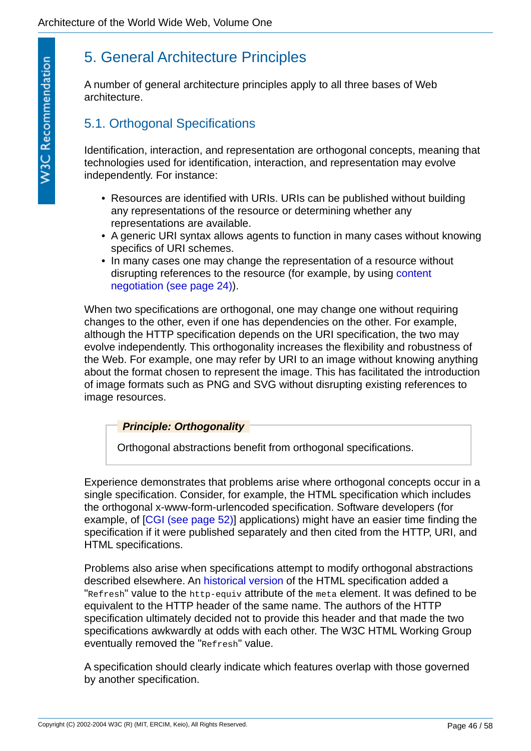# <span id="page-45-0"></span>5. General Architecture Principles

A number of general architecture principles apply to all three bases of Web architecture.

# <span id="page-45-1"></span>5.1. Orthogonal Specifications

Identification, interaction, and representation are orthogonal concepts, meaning that technologies used for identification, interaction, and representation may evolve independently. For instance:

- Resources are identified with URIs. URIs can be published without building any representations of the resource or determining whether any representations are available.
- A generic URI syntax allows agents to function in many cases without knowing specifics of URI schemes.
- In many cases one may change the representation of a resource without [disrupting references to the resource \(for example, by using content](#page-23-1)  negotiation (see page 24)).

When two specifications are orthogonal, one may change one without requiring changes to the other, even if one has dependencies on the other. For example, although the HTTP specification depends on the URI specification, the two may evolve independently. This orthogonality increases the flexibility and robustness of the Web. For example, one may refer by URI to an image without knowing anything about the format chosen to represent the image. This has facilitated the introduction of image formats such as PNG and SVG without disrupting existing references to image resources.

### <span id="page-45-2"></span>*Principle: Orthogonality*

Orthogonal abstractions benefit from orthogonal specifications.

Experience demonstrates that problems arise where orthogonal concepts occur in a single specification. Consider, for example, the HTML specification which includes the orthogonal x-www-form-urlencoded specification. Software developers (for example, of [\[CGI \(see page 52\)\]](#page-51-9) applications) might have an easier time finding the specification if it were published separately and then cited from the HTTP, URI, and HTML specifications.

Problems also arise when specifications attempt to modify orthogonal abstractions described elsewhere. An [historical version](http://www.w3.org/TR/1998/REC-html40-19980424/struct/global.html) of the HTML specification added a "Refresh" value to the http-equiv attribute of the meta element. It was defined to be equivalent to the HTTP header of the same name. The authors of the HTTP specification ultimately decided not to provide this header and that made the two specifications awkwardly at odds with each other. The W3C HTML Working Group eventually removed the "Refresh" value.

A specification should clearly indicate which features overlap with those governed by another specification.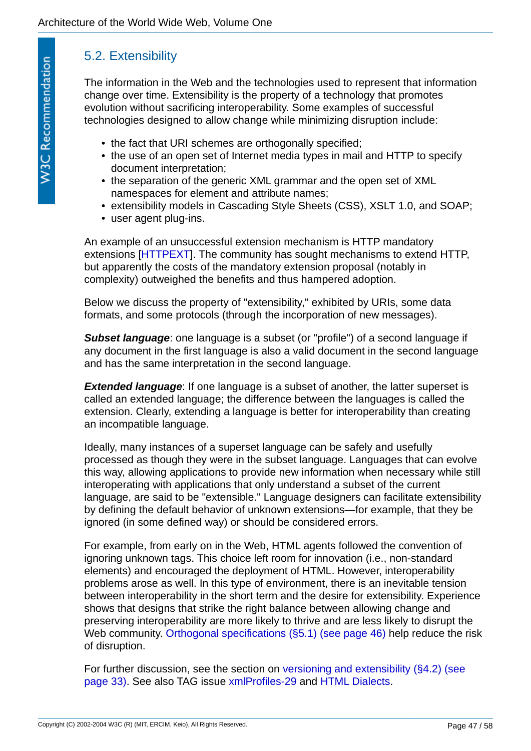# <span id="page-46-0"></span>5.2. Extensibility

The information in the Web and the technologies used to represent that information change over time. Extensibility is the property of a technology that promotes evolution without sacrificing interoperability. Some examples of successful technologies designed to allow change while minimizing disruption include:

- the fact that URI schemes are orthogonally specified;
- the use of an open set of Internet media types in mail and HTTP to specify document interpretation;
- the separation of the generic XML grammar and the open set of XML namespaces for element and attribute names;
- extensibility models in Cascading Style Sheets (CSS), XSLT 1.0, and SOAP;
- user agent plug-ins.

An example of an unsuccessful extension mechanism is HTTP mandatory extensions [[HTTPEXT](#page-51-10)]. The community has sought mechanisms to extend HTTP, but apparently the costs of the mandatory extension proposal (notably in complexity) outweighed the benefits and thus hampered adoption.

Below we discuss the property of "extensibility," exhibited by URIs, some data formats, and some protocols (through the incorporation of new messages).

<span id="page-46-2"></span>**Subset language**: one language is a subset (or "profile") of a second language if any document in the first language is also a valid document in the second language and has the same interpretation in the second language.

<span id="page-46-1"></span>**Extended language**: If one language is a subset of another, the latter superset is called an extended language; the difference between the languages is called the extension. Clearly, extending a language is better for interoperability than creating an incompatible language.

Ideally, many instances of a superset language can be safely and usefully processed as though they were in the subset language. Languages that can evolve this way, allowing applications to provide new information when necessary while still interoperating with applications that only understand a subset of the current language, are said to be "extensible." Language designers can facilitate extensibility by defining the default behavior of unknown extensions—for example, that they be ignored (in some defined way) or should be considered errors.

For example, from early on in the Web, HTML agents followed the convention of ignoring unknown tags. This choice left room for innovation (i.e., non-standard elements) and encouraged the deployment of HTML. However, interoperability problems arose as well. In this type of environment, there is an inevitable tension between interoperability in the short term and the desire for extensibility. Experience shows that designs that strike the right balance between allowing change and preserving interoperability are more likely to thrive and are less likely to disrupt the Web community. [Orthogonal specifications \(§5.1\) \(see page 46\)](#page-45-1) help reduce the risk of disruption.

[For further discussion, see the section on versioning and extensibility \(§4.2\) \(see](#page-32-0)  page 33). See also TAG issue [xmlProfiles-29](http://www.w3.org/2001/tag/issues.html#xmlProfiles-29) and [HTML Dialects.](http://www.w3.org/TR/WD-doctypes)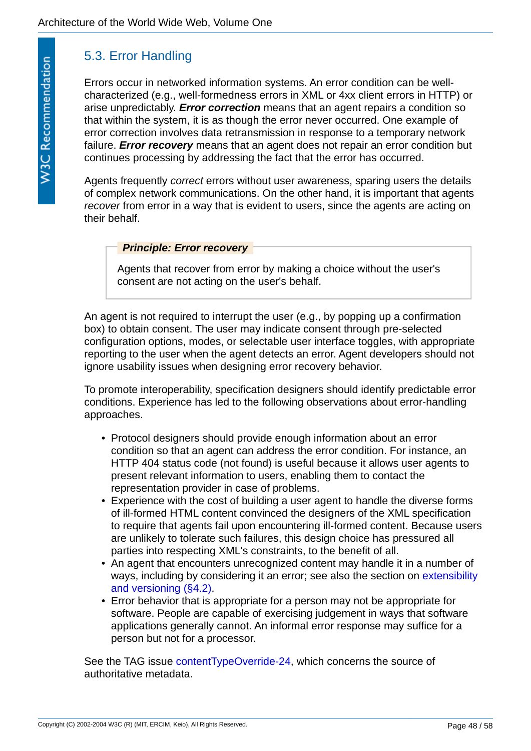# <span id="page-47-0"></span>5.3. Error Handling

<span id="page-47-3"></span>Errors occur in networked information systems. An error condition can be wellcharacterized (e.g., well-formedness errors in XML or 4xx client errors in HTTP) or arise unpredictably. *Error correction* means that an agent repairs a condition so that within the system, it is as though the error never occurred. One example of error correction involves data retransmission in response to a temporary network failure. *Error recovery* means that an agent does not repair an error condition but continues processing by addressing the fact that the error has occurred.

<span id="page-47-2"></span>Agents frequently *correct* errors without user awareness, sparing users the details of complex network communications. On the other hand, it is important that agents *recover* from error in a way that is evident to users, since the agents are acting on their behalf.

### <span id="page-47-1"></span>*Principle: Error recovery*

Agents that recover from error by making a choice without the user's consent are not acting on the user's behalf.

An agent is not required to interrupt the user (e.g., by popping up a confirmation box) to obtain consent. The user may indicate consent through pre-selected configuration options, modes, or selectable user interface toggles, with appropriate reporting to the user when the agent detects an error. Agent developers should not ignore usability issues when designing error recovery behavior.

To promote interoperability, specification designers should identify predictable error conditions. Experience has led to the following observations about error-handling approaches.

- Protocol designers should provide enough information about an error condition so that an agent can address the error condition. For instance, an HTTP 404 status code (not found) is useful because it allows user agents to present relevant information to users, enabling them to contact the representation provider in case of problems.
- Experience with the cost of building a user agent to handle the diverse forms of ill-formed HTML content convinced the designers of the XML specification to require that agents fail upon encountering ill-formed content. Because users are unlikely to tolerate such failures, this design choice has pressured all parties into respecting XML's constraints, to the benefit of all.
- An agent that encounters unrecognized content may handle it in a number of [ways, including by considering it an error; see also the section on extensibility](#page-32-0)  and versioning (§4.2).
- Error behavior that is appropriate for a person may not be appropriate for software. People are capable of exercising judgement in ways that software applications generally cannot. An informal error response may suffice for a person but not for a processor.

See the TAG issue [contentTypeOverride-24](http://www.w3.org/2001/tag/issues.html#contentTypeOverride-24), which concerns the source of authoritative metadata.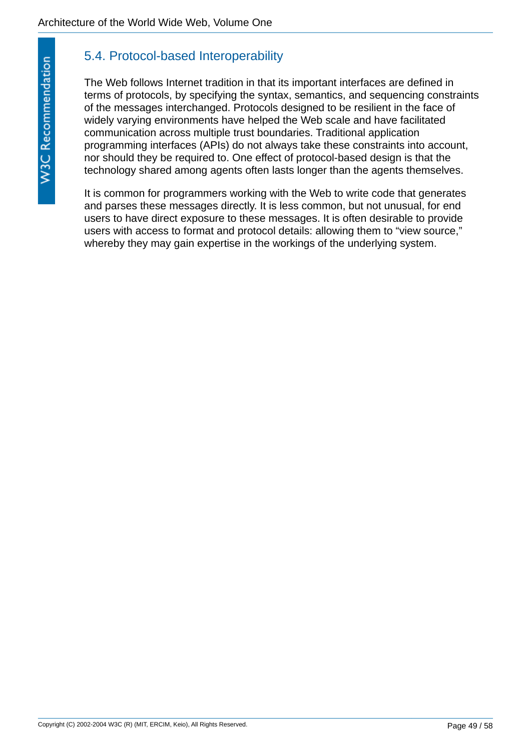# <span id="page-48-0"></span>5.4. Protocol-based Interoperability

The Web follows Internet tradition in that its important interfaces are defined in terms of protocols, by specifying the syntax, semantics, and sequencing constraints of the messages interchanged. Protocols designed to be resilient in the face of widely varying environments have helped the Web scale and have facilitated communication across multiple trust boundaries. Traditional application programming interfaces (APIs) do not always take these constraints into account, nor should they be required to. One effect of protocol-based design is that the technology shared among agents often lasts longer than the agents themselves.

It is common for programmers working with the Web to write code that generates and parses these messages directly. It is less common, but not unusual, for end users to have direct exposure to these messages. It is often desirable to provide users with access to format and protocol details: allowing them to "view source," whereby they may gain expertise in the workings of the underlying system.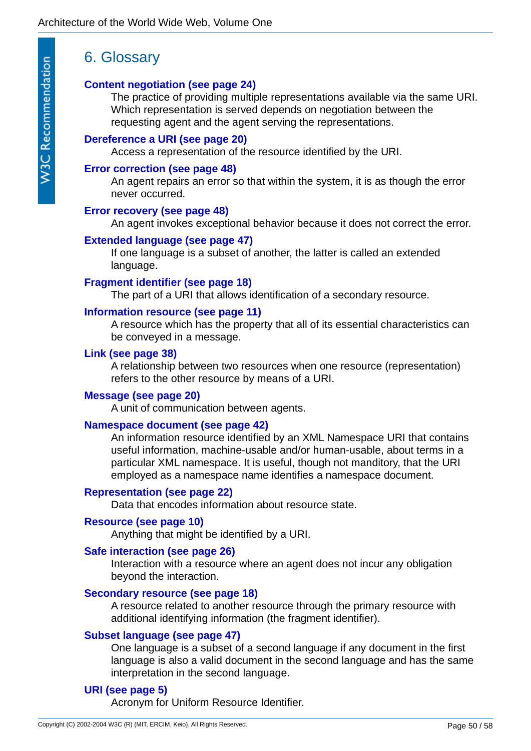# <span id="page-49-0"></span>6. Glossary

### **[Content negotiation \(see page 24\)](#page-23-1)**

The practice of providing multiple representations available via the same URI. Which representation is served depends on negotiation between the requesting agent and the agent serving the representations.

### **[Dereference a URI \(see page 20\)](#page-19-2)**

Access a representation of the resource identified by the URI.

### **[Error correction \(see page 48\)](#page-47-3)**

An agent repairs an error so that within the system, it is as though the error never occurred.

### **[Error recovery \(see page 48\)](#page-47-2)**

An agent invokes exceptional behavior because it does not correct the error.

### **[Extended language \(see page 47\)](#page-46-1)**

If one language is a subset of another, the latter is called an extended language.

### **[Fragment identifier \(see page 18\)](#page-17-2)**

The part of a URI that allows identification of a secondary resource.

### **[Information resource \(see page 11\)](#page-10-1)**

A resource which has the property that all of its essential characteristics can be conveyed in a message.

### **[Link \(see page 38\)](#page-37-4)**

A relationship between two resources when one resource (representation) refers to the other resource by means of a URI.

### **[Message \(see page 20\)](#page-19-3)**

A unit of communication between agents.

### **[Namespace document \(see page 42\)](#page-41-2)**

An information resource identified by an XML Namespace URI that contains useful information, machine-usable and/or human-usable, about terms in a particular XML namespace. It is useful, though not manditory, that the URI employed as a namespace name identifies a namespace document.

### **[Representation \(see page 22\)](#page-21-1)**

Data that encodes information about resource state.

### **[Resource \(see page 10\)](#page-9-5)**

Anything that might be identified by a URI.

### **[Safe interaction \(see page 26\)](#page-25-3)**

Interaction with a resource where an agent does not incur any obligation beyond the interaction.

### **[Secondary resource \(see page 18\)](#page-17-3)**

A resource related to another resource through the primary resource with additional identifying information (the fragment identifier).

### **[Subset language \(see page 47\)](#page-46-2)**

One language is a subset of a second language if any document in the first language is also a valid document in the second language and has the same interpretation in the second language.

## **[URI \(see page 5\)](#page-4-2)**

Acronym for Uniform Resource Identifier.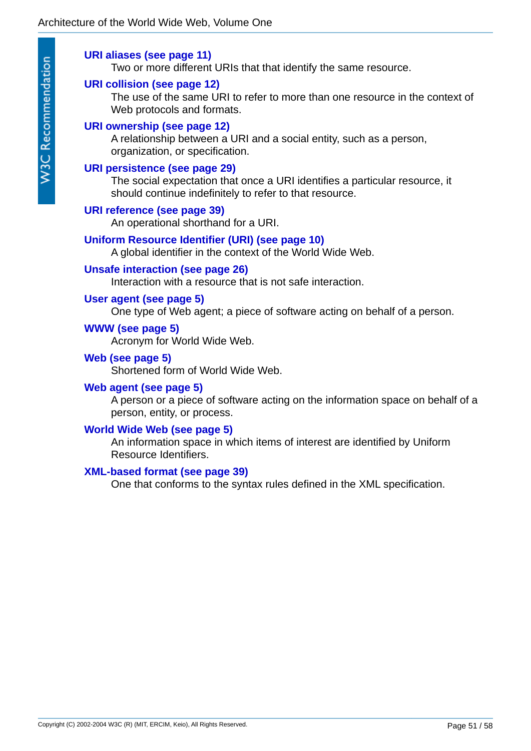### **[URI aliases \(see page 11\)](#page-10-2)**

Two or more different URIs that that identify the same resource.

### **[URI collision \(see page 12\)](#page-11-3)**

The use of the same URI to refer to more than one resource in the context of Web protocols and formats.

### **[URI ownership \(see page 12\)](#page-11-4)**

A relationship between a URI and a social entity, such as a person, organization, or specification.

### **[URI persistence \(see page 29\)](#page-28-3)**

The social expectation that once a URI identifies a particular resource, it should continue indefinitely to refer to that resource.

### **[URI reference \(see page 39\)](#page-38-4)**

An operational shorthand for a URI.

### **[Uniform Resource Identifier \(URI\) \(see page 10\)](#page-9-6)**

A global identifier in the context of the World Wide Web.

### **[Unsafe interaction \(see page 26\)](#page-25-2)**

Interaction with a resource that is not safe interaction.

### **[User agent \(see page 5\)](#page-4-3)**

One type of Web agent; a piece of software acting on behalf of a person.

### **[WWW \(see page 5\)](#page-4-4)**

Acronym for World Wide Web.

### **[Web \(see page 5\)](#page-4-5)**

Shortened form of World Wide Web.

### **[Web agent \(see page 5\)](#page-4-6)**

A person or a piece of software acting on the information space on behalf of a person, entity, or process.

### **[World Wide Web \(see page 5\)](#page-4-7)**

An information space in which items of interest are identified by Uniform Resource Identifiers.

### **[XML-based format \(see page 39\)](#page-38-5)**

One that conforms to the syntax rules defined in the XML specification.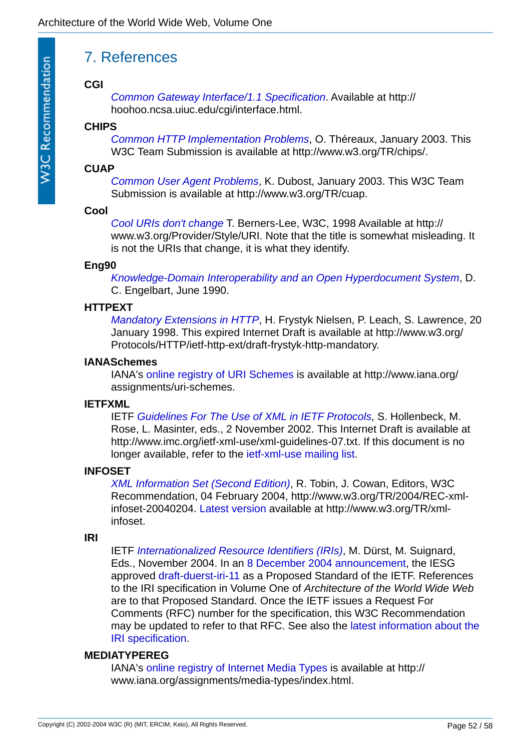# <span id="page-51-0"></span>7. References

### <span id="page-51-9"></span>**CGI**

*[Common Gateway Interface/1.1 Specification](http://hoohoo.ncsa.uiuc.edu/cgi/interface.html)*. Available at http:// hoohoo.ncsa.uiuc.edu/cgi/interface.html.

### <span id="page-51-3"></span>**CHIPS**

*[Common HTTP Implementation Problems](http://www.w3.org/TR/chips/)*, O. Théreaux, January 2003. This W3C Team Submission is available at http://www.w3.org/TR/chips/.

### <span id="page-51-5"></span>**CUAP**

*[Common User Agent Problems](http://www.w3.org/TR/cuap)*, K. Dubost, January 2003. This W3C Team Submission is available at http://www.w3.org/TR/cuap.

### <span id="page-51-6"></span>**Cool**

*[Cool URIs don't change](http://www.w3.org/Provider/Style/URI.html)* T. Berners-Lee, W3C, 1998 Available at http:// www.w3.org/Provider/Style/URI. Note that the title is somewhat misleading. It is not the URIs that change, it is what they identify.

### <span id="page-51-1"></span>**Eng90**

*[Knowledge-Domain Interoperability and an Open Hyperdocument System](http://www.bootstrap.org/augment/AUGMENT/132082.html)*, D. C. Engelbart, June 1990.

### <span id="page-51-10"></span>**HTTPEXT**

*[Mandatory Extensions in HTTP](http://www.w3.org/Protocols/HTTP/ietf-http-ext/draft-frystyk-http-mandatory)*, H. Frystyk Nielsen, P. Leach, S. Lawrence, 20 January 1998. This expired Internet Draft is available at http://www.w3.org/ Protocols/HTTP/ietf-http-ext/draft-frystyk-http-mandatory.

### <span id="page-51-2"></span>**IANASchemes**

IANA's [online registry of URI Schemes](http://www.iana.org/assignments/uri-schemes) is available at http://www.iana.org/ assignments/uri-schemes.

### <span id="page-51-7"></span>**IETFXML**

IETF *[Guidelines For The Use of XML in IETF Protocols](http://www.imc.org/ietf-xml-use/xml-guidelines-07.txt)*, S. Hollenbeck, M. Rose, L. Masinter, eds., 2 November 2002. This Internet Draft is available at http://www.imc.org/ietf-xml-use/xml-guidelines-07.txt. If this document is no longer available, refer to the [ietf-xml-use mailing list.](http://www.imc.org/ietf-xml-use/index.html)

### <span id="page-51-8"></span>**INFOSET**

*[XML Information Set \(Second Edition\)](http://www.w3.org/TR/xml-infoset)*, R. Tobin, J. Cowan, Editors, W3C Recommendation, 04 February 2004, http://www.w3.org/TR/2004/REC-xmlinfoset-20040204. [Latest version](http://www.w3.org/TR/xml-infoset) available at http://www.w3.org/TR/xmlinfoset.

### **IRI**

IETF *[Internationalized Resource Identifiers \(IRIs\)](http://www.w3.org/International/iri-edit/draft-duerst-iri-11.txt)*, M. Dürst, M. Suignard, Eds., November 2004. In an [8 December 2004 announcement](http://www1.ietf.org/mail-archive/web/ietf-announce/current/msg00752.html), the IESG approved [draft-duerst-iri-11](http://www.w3.org/International/iri-edit/draft-duerst-iri-11.txt) as a Proposed Standard of the IETF. References to the IRI specification in Volume One of *Architecture of the World Wide Web* are to that Proposed Standard. Once the IETF issues a Request For Comments (RFC) number for the specification, this W3C Recommendation [may be updated to refer to that RFC. See also the latest information about the](http://www.w3.org/International/iri-edit/draft-duerst-iri.html)  IRI specification.

### <span id="page-51-4"></span>**MEDIATYPEREG**

IANA's [online registry of Internet Media Types](http://www.iana.org/assignments/media-types/index.html) is available at http:// www.iana.org/assignments/media-types/index.html.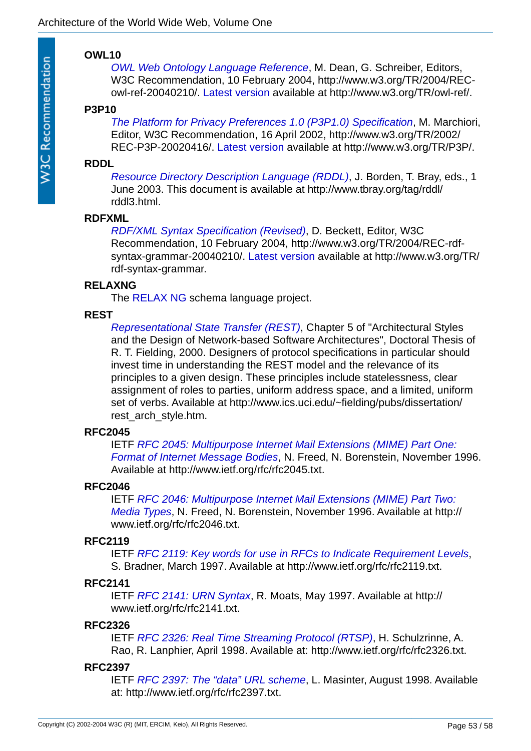### **OWL10**

*[OWL Web Ontology Language Reference](http://www.w3.org/TR/owl-ref/)*, M. Dean, G. Schreiber, Editors, W3C Recommendation, 10 February 2004, http://www.w3.org/TR/2004/RECowl-ref-20040210/. [Latest version](http://www.w3.org/TR/owl-ref/) available at http://www.w3.org/TR/owl-ref/.

### **P3P10**

<span id="page-52-3"></span>**W3C Recommendation** 

*[The Platform for Privacy Preferences 1.0 \(P3P1.0\) Specification](http://www.w3.org/TR/P3P/)*, M. Marchiori, Editor, W3C Recommendation, 16 April 2002, http://www.w3.org/TR/2002/ REC-P3P-20020416/. [Latest version](http://www.w3.org/TR/P3P/) available at http://www.w3.org/TR/P3P/.

### <span id="page-52-7"></span>**RDDL**

*[Resource Directory Description Language \(RDDL\)](http://www.tbray.org/tag/rddl/rddl3.html)*, J. Borden, T. Bray, eds., 1 June 2003. This document is available at http://www.tbray.org/tag/rddl/ rddl3.html.

### <span id="page-52-6"></span>**RDFXML**

*[RDF/XML Syntax Specification \(Revised\)](http://www.w3.org/TR/rdf-syntax-grammar)*, D. Beckett, Editor, W3C Recommendation, 10 February 2004, http://www.w3.org/TR/2004/REC-rdfsyntax-grammar-20040210/. [Latest version](http://www.w3.org/TR/rdf-syntax-grammar) available at http://www.w3.org/TR/ rdf-syntax-grammar.

### <span id="page-52-8"></span>**RELAXNG**

The [RELAX NG](http://www.relaxng.org/) schema language project.

### **REST**

*[Representational State Transfer \(REST\)](http://www.ics.uci.edu/~fielding/pubs/dissertation/rest_arch_style.htm)*, Chapter 5 of "Architectural Styles and the Design of Network-based Software Architectures", Doctoral Thesis of R. T. Fielding, 2000. Designers of protocol specifications in particular should invest time in understanding the REST model and the relevance of its principles to a given design. These principles include statelessness, clear assignment of roles to parties, uniform address space, and a limited, uniform set of verbs. Available at http://www.ics.uci.edu/~fielding/pubs/dissertation/ rest\_arch\_style.htm.

### **RFC2045**

IETF *[RFC 2045: Multipurpose Internet Mail Extensions \(MIME\) Part One:](http://www.ietf.org/rfc/rfc2045.txt)  Format of Internet Message Bodies*, N. Freed, N. Borenstein, November 1996. Available at http://www.ietf.org/rfc/rfc2045.txt.

### <span id="page-52-4"></span>**RFC2046**

IETF *[RFC 2046: Multipurpose Internet Mail Extensions \(MIME\) Part Two:](http://www.ietf.org/rfc/rfc2046.txt)  Media Types*, N. Freed, N. Borenstein, November 1996. Available at http:// www.ietf.org/rfc/rfc2046.txt.

### <span id="page-52-0"></span>**RFC2119**

IETF *[RFC 2119: Key words for use in RFCs to Indicate Requirement Levels](http://www.ietf.org/rfc/rfc2119.txt)*, S. Bradner, March 1997. Available at http://www.ietf.org/rfc/rfc2119.txt.

### <span id="page-52-1"></span>**RFC2141**

IETF *[RFC 2141: URN Syntax](http://www.ietf.org/rfc/rfc2141.txt)*, R. Moats, May 1997. Available at http:// www.ietf.org/rfc/rfc2141.txt.

### <span id="page-52-5"></span>**RFC2326**

IETF *[RFC 2326: Real Time Streaming Protocol \(RTSP\)](http://www.ietf.org/rfc/rfc2326.txt)*, H. Schulzrinne, A. Rao, R. Lanphier, April 1998. Available at: http://www.ietf.org/rfc/rfc2326.txt.

### <span id="page-52-2"></span>**RFC2397**

IETF *[RFC 2397: The "data" URL scheme](http://www.ietf.org/rfc/rfc2397.txt)*, L. Masinter, August 1998. Available at: http://www.ietf.org/rfc/rfc2397.txt.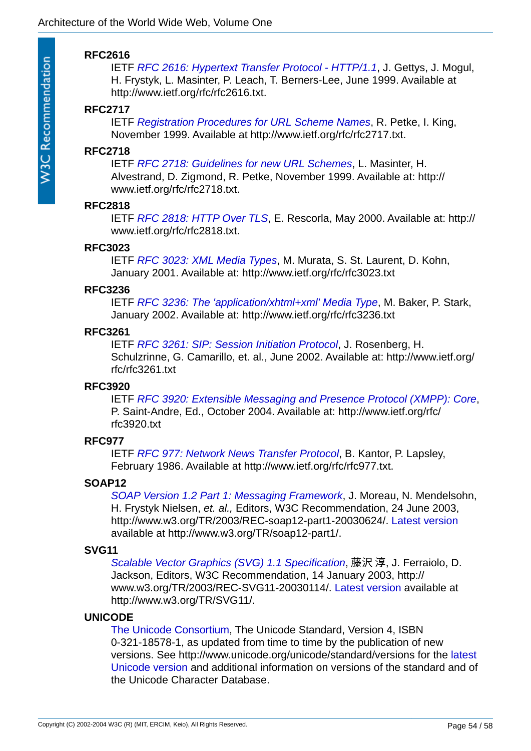### <span id="page-53-0"></span>**RFC2616**

IETF *[RFC 2616: Hypertext Transfer Protocol - HTTP/1.1](http://www.ietf.org/rfc/rfc2616.txt)*, J. Gettys, J. Mogul, H. Frystyk, L. Masinter, P. Leach, T. Berners-Lee, June 1999. Available at http://www.ietf.org/rfc/rfc2616.txt.

### <span id="page-53-2"></span>**RFC2717**

IETF *[Registration Procedures for URL Scheme Names](http://www.ietf.org/rfc/rfc2717.txt)*, R. Petke, I. King, November 1999. Available at http://www.ietf.org/rfc/rfc2717.txt.

### <span id="page-53-1"></span>**RFC2718**

IETF *[RFC 2718: Guidelines for new URL Schemes](http://www.ietf.org/rfc/rfc2718.txt)*, L. Masinter, H. Alvestrand, D. Zigmond, R. Petke, November 1999. Available at: http:// www.ietf.org/rfc/rfc2718.txt.

#### **RFC2818**

IETF *[RFC 2818: HTTP Over TLS](http://www.ietf.org/rfc/rfc2818.txt)*, E. Rescorla, May 2000. Available at: http:// www.ietf.org/rfc/rfc2818.txt.

### <span id="page-53-7"></span>**RFC3023**

IETF *[RFC 3023: XML Media Types](http://www.ietf.org/rfc/rfc3023.txt)*, M. Murata, S. St. Laurent, D. Kohn, January 2001. Available at: http://www.ietf.org/rfc/rfc3023.txt

### **RFC3236**

IETF *[RFC 3236: The 'application/xhtml+xml' Media Type](http://www.ietf.org/rfc/rfc3236.txt)*, M. Baker, P. Stark, January 2002. Available at: http://www.ietf.org/rfc/rfc3236.txt

### <span id="page-53-5"></span>**RFC3261**

IETF *[RFC 3261: SIP: Session Initiation Protocol](http://www.ietf.org/rfc/rfc3261.txt)*, J. Rosenberg, H. Schulzrinne, G. Camarillo, et. al., June 2002. Available at: http://www.ietf.org/ rfc/rfc3261.txt

### <span id="page-53-4"></span>**RFC3920**

IETF *[RFC 3920: Extensible Messaging and Presence Protocol \(XMPP\): Core](http://www.ietf.org/rfc/rfc3920.txt)*, P. Saint-Andre, Ed., October 2004. Available at: http://www.ietf.org/rfc/ rfc3920.txt

### **RFC977**

IETF *[RFC 977: Network News Transfer Protocol](http://www.ietf.org/rfc/rfc977.txt)*, B. Kantor, P. Lapsley, February 1986. Available at http://www.ietf.org/rfc/rfc977.txt.

### **SOAP12**

*[SOAP Version 1.2 Part 1: Messaging Framework](http://www.w3.org/TR/soap12-part1/)*, J. Moreau, N. Mendelsohn, H. Frystyk Nielsen, *et. al.,* Editors, W3C Recommendation, 24 June 2003, http://www.w3.org/TR/2003/REC-soap12-part1-20030624/. [Latest version](http://www.w3.org/TR/soap12-part1/) available at http://www.w3.org/TR/soap12-part1/.

### <span id="page-53-3"></span>**SVG11**

*[Scalable Vector Graphics \(SVG\) 1.1 Specification](http://www.w3.org/TR/SVG11/)*, 藤沢 淳, J. Ferraiolo, D. Jackson, Editors, W3C Recommendation, 14 January 2003, http:// www.w3.org/TR/2003/REC-SVG11-20030114/. [Latest version](http://www.w3.org/TR/SVG11/) available at http://www.w3.org/TR/SVG11/.

### <span id="page-53-6"></span>**UNICODE**

[The Unicode Consortium](http://www.unicode.org/), The Unicode Standard, Version 4, ISBN 0-321-18578-1, as updated from time to time by the publication of new [versions. See http://www.unicode.org/unicode/standard/versions for the latest](http://www.unicode.org/unicode/standard/versions)  Unicode version and additional information on versions of the standard and of the Unicode Character Database.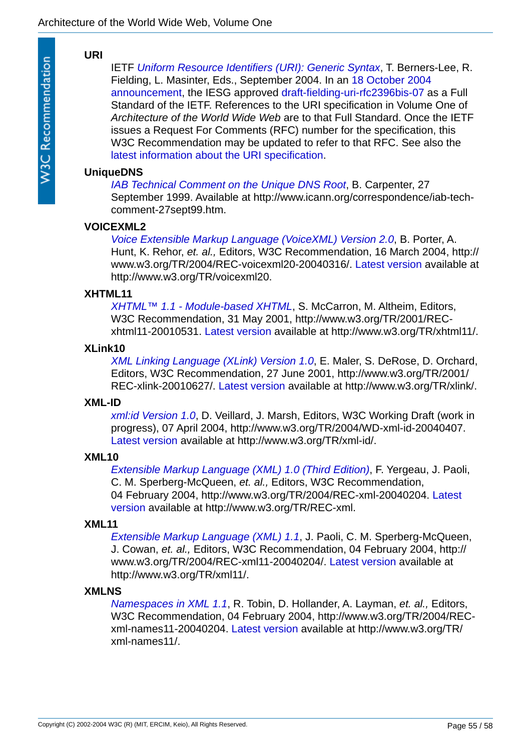### <span id="page-54-1"></span>**URI**

IETF *[Uniform Resource Identifiers \(URI\): Generic Syntax](http://gbiv.com/protocols/uri/rev-2002/draft-fielding-uri-rfc2396bis-07.html)*, T. Berners-Lee, R. [Fielding, L. Masinter, Eds., September 2004. In an 18 October 2004](http://www1.ietf.org/mail-archive/web/ietf-announce/current/msg00602.html)  announcement, the IESG approved [draft-fielding-uri-rfc2396bis-07](http://gbiv.com/protocols/uri/rev-2002/draft-fielding-uri-rfc2396bis-07.html) as a Full Standard of the IETF. References to the URI specification in Volume One of *Architecture of the World Wide Web* are to that Full Standard. Once the IETF issues a Request For Comments (RFC) number for the specification, this W3C Recommendation may be updated to refer to that RFC. See also the [latest information about the URI specification](http://gbiv.com/protocols/uri/rev-2002/rfc2396bis.html).

### **UniqueDNS**

*[IAB Technical Comment on the Unique DNS Root](http://www.icann.org/correspondence/iab-tech-comment-27sept99.htm)*, B. Carpenter, 27 September 1999. Available at http://www.icann.org/correspondence/iab-techcomment-27sept99.htm.

### <span id="page-54-0"></span>**VOICEXML2**

*[Voice Extensible Markup Language \(VoiceXML\) Version 2.0](http://www.w3.org/TR/voicexml20)*, B. Porter, A. Hunt, K. Rehor, *et. al.,* Editors, W3C Recommendation, 16 March 2004, http:// www.w3.org/TR/2004/REC-voicexml20-20040316/. [Latest version](http://www.w3.org/TR/voicexml20) available at http://www.w3.org/TR/voicexml20.

### <span id="page-54-6"></span>**XHTML11**

*[XHTML™ 1.1 - Module-based XHTML](http://www.w3.org/TR/xhtml11/)*, S. McCarron, M. Altheim, Editors, W3C Recommendation, 31 May 2001, http://www.w3.org/TR/2001/RECxhtml11-20010531. [Latest version](http://www.w3.org/TR/xhtml11/) available at http://www.w3.org/TR/xhtml11/.

### <span id="page-54-2"></span>**XLink10**

*[XML Linking Language \(XLink\) Version 1.0](http://www.w3.org/TR/xlink/)*, E. Maler, S. DeRose, D. Orchard, Editors, W3C Recommendation, 27 June 2001, http://www.w3.org/TR/2001/ REC-xlink-20010627/. [Latest version](http://www.w3.org/TR/xlink/) available at http://www.w3.org/TR/xlink/.

### <span id="page-54-7"></span>**XML-ID**

*[xml:id Version 1.0](http://www.w3.org/TR/xml-id/)*, D. Veillard, J. Marsh, Editors, W3C Working Draft (work in progress), 07 April 2004, http://www.w3.org/TR/2004/WD-xml-id-20040407. [Latest version](http://www.w3.org/TR/xml-id/) available at http://www.w3.org/TR/xml-id/.

### <span id="page-54-3"></span>**XML10**

*[Extensible Markup Language \(XML\) 1.0 \(Third Edition\)](http://www.w3.org/TR/REC-xml)*, F. Yergeau, J. Paoli, C. M. Sperberg-McQueen, *et. al.,* Editors, W3C Recommendation, [04 February 2004, http://www.w3.org/TR/2004/REC-xml-20040204.](http://www.w3.org/TR/REC-xml) Latest version available at http://www.w3.org/TR/REC-xml.

### <span id="page-54-4"></span>**XML11**

*[Extensible Markup Language \(XML\) 1.1](http://www.w3.org/TR/xml11/)*, J. Paoli, C. M. Sperberg-McQueen, J. Cowan, *et. al.,* Editors, W3C Recommendation, 04 February 2004, http:// www.w3.org/TR/2004/REC-xml11-20040204/. [Latest version](http://www.w3.org/TR/xml11/) available at http://www.w3.org/TR/xml11/.

### <span id="page-54-5"></span>**XMLNS**

*[Namespaces in XML 1.1](http://www.w3.org/TR/xml-names11/)*, R. Tobin, D. Hollander, A. Layman, *et. al.,* Editors, W3C Recommendation, 04 February 2004, http://www.w3.org/TR/2004/RECxml-names11-20040204. [Latest version](http://www.w3.org/TR/xml-names11/) available at http://www.w3.org/TR/ xml-names11/.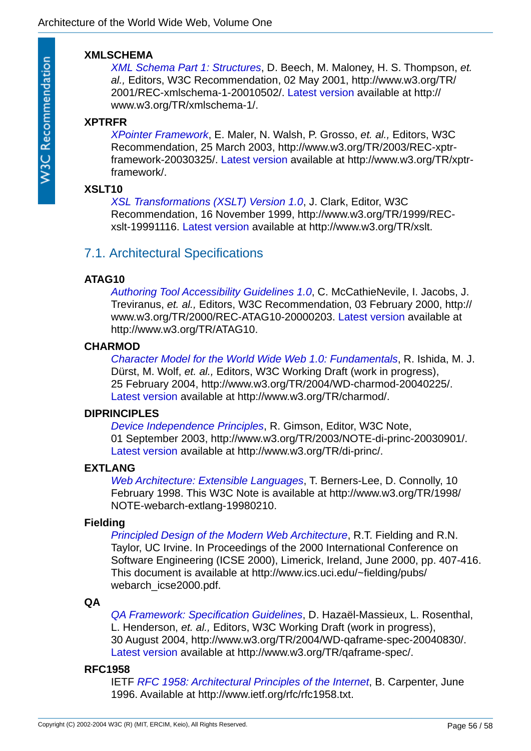### <span id="page-55-4"></span>**XMLSCHEMA**

*[XML Schema Part 1: Structures](http://www.w3.org/TR/xmlschema-1/)*, D. Beech, M. Maloney, H. S. Thompson, *et. al.,* Editors, W3C Recommendation, 02 May 2001, http://www.w3.org/TR/ 2001/REC-xmlschema-1-20010502/. [Latest version](http://www.w3.org/TR/xmlschema-1/) available at http:// www.w3.org/TR/xmlschema-1/.

### <span id="page-55-6"></span>**XPTRFR**

*[XPointer Framework](http://www.w3.org/TR/xptr-framework/)*, E. Maler, N. Walsh, P. Grosso, *et. al.,* Editors, W3C Recommendation, 25 March 2003, http://www.w3.org/TR/2003/REC-xptrframework-20030325/. [Latest version](http://www.w3.org/TR/xptr-framework/) available at http://www.w3.org/TR/xptrframework/.

### <span id="page-55-5"></span>**XSLT10**

*[XSL Transformations \(XSLT\) Version 1.0](http://www.w3.org/TR/xslt)*, J. Clark, Editor, W3C Recommendation, 16 November 1999, http://www.w3.org/TR/1999/RECxslt-19991116. [Latest version](http://www.w3.org/TR/xslt) available at http://www.w3.org/TR/xslt.

# <span id="page-55-0"></span>7.1. Architectural Specifications

### **ATAG10**

*[Authoring Tool Accessibility Guidelines 1.0](http://www.w3.org/TR/ATAG10)*, C. McCathieNevile, I. Jacobs, J. Treviranus, *et. al.,* Editors, W3C Recommendation, 03 February 2000, http:// www.w3.org/TR/2000/REC-ATAG10-20000203. [Latest version](http://www.w3.org/TR/ATAG10) available at http://www.w3.org/TR/ATAG10.

### **CHARMOD**

*[Character Model for the World Wide Web 1.0: Fundamentals](http://www.w3.org/TR/charmod/)*, R. Ishida, M. J. Dürst, M. Wolf, *et. al.,* Editors, W3C Working Draft (work in progress), 25 February 2004, http://www.w3.org/TR/2004/WD-charmod-20040225/. [Latest version](http://www.w3.org/TR/charmod/) available at http://www.w3.org/TR/charmod/.

### <span id="page-55-3"></span>**DIPRINCIPLES**

*[Device Independence Principles](http://www.w3.org/TR/di-princ/)*, R. Gimson, Editor, W3C Note, 01 September 2003, http://www.w3.org/TR/2003/NOTE-di-princ-20030901/. [Latest version](http://www.w3.org/TR/di-princ/) available at http://www.w3.org/TR/di-princ/.

### <span id="page-55-1"></span>**EXTLANG**

*[Web Architecture: Extensible Languages](http://www.w3.org/TR/1998/NOTE-webarch-extlang-19980210)*, T. Berners-Lee, D. Connolly, 10 February 1998. This W3C Note is available at http://www.w3.org/TR/1998/ NOTE-webarch-extlang-19980210.

### **Fielding**

*[Principled Design of the Modern Web Architecture](http://www.ics.uci.edu/~fielding/pubs/webarch_icse2000.pdf)*, R.T. Fielding and R.N. Taylor, UC Irvine. In Proceedings of the 2000 International Conference on Software Engineering (ICSE 2000), Limerick, Ireland, June 2000, pp. 407-416. This document is available at http://www.ics.uci.edu/~fielding/pubs/ webarch\_icse2000.pdf.

### <span id="page-55-2"></span>**QA**

*[QA Framework: Specification Guidelines](http://www.w3.org/TR/qaframe-spec/)*, D. Hazaël-Massieux, L. Rosenthal, L. Henderson, *et. al.,* Editors, W3C Working Draft (work in progress), 30 August 2004, http://www.w3.org/TR/2004/WD-qaframe-spec-20040830/. [Latest version](http://www.w3.org/TR/qaframe-spec/) available at http://www.w3.org/TR/qaframe-spec/.

### **RFC1958**

IETF *[RFC 1958: Architectural Principles of the Internet](http://www.ietf.org/rfc/rfc1958.txt)*, B. Carpenter, June 1996. Available at http://www.ietf.org/rfc/rfc1958.txt.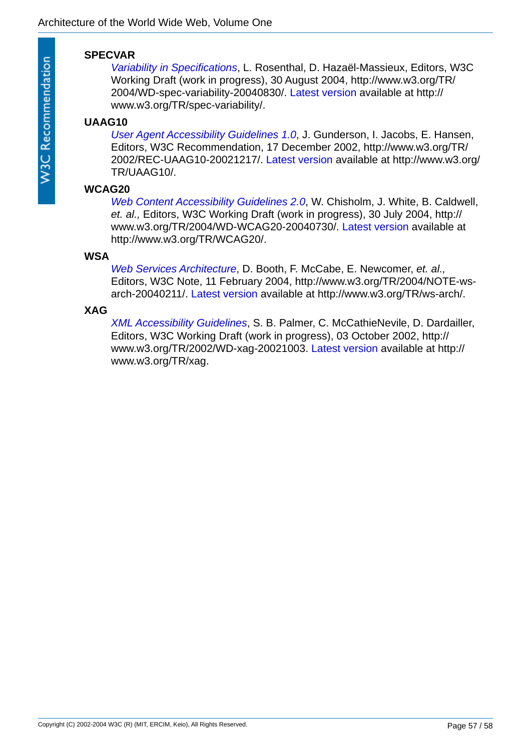### <span id="page-56-0"></span>**SPECVAR**

*[Variability in Specifications](http://www.w3.org/TR/spec-variability/)*, L. Rosenthal, D. Hazaël-Massieux, Editors, W3C Working Draft (work in progress), 30 August 2004, http://www.w3.org/TR/ 2004/WD-spec-variability-20040830/. [Latest version](http://www.w3.org/TR/spec-variability/) available at http:// www.w3.org/TR/spec-variability/.

### **UAAG10**

*[User Agent Accessibility Guidelines 1.0](http://www.w3.org/TR/UAAG10/)*, J. Gunderson, I. Jacobs, E. Hansen, Editors, W3C Recommendation, 17 December 2002, http://www.w3.org/TR/ 2002/REC-UAAG10-20021217/. [Latest version](http://www.w3.org/TR/UAAG10/) available at http://www.w3.org/ TR/UAAG10/.

### **WCAG20**

*[Web Content Accessibility Guidelines 2.0](http://www.w3.org/TR/WCAG20/)*, W. Chisholm, J. White, B. Caldwell, *et. al.,* Editors, W3C Working Draft (work in progress), 30 July 2004, http:// www.w3.org/TR/2004/WD-WCAG20-20040730/. [Latest version](http://www.w3.org/TR/WCAG20/) available at http://www.w3.org/TR/WCAG20/.

### **WSA**

*[Web Services Architecture](http://www.w3.org/TR/ws-arch/)*, D. Booth, F. McCabe, E. Newcomer, *et. al.,* Editors, W3C Note, 11 February 2004, http://www.w3.org/TR/2004/NOTE-wsarch-20040211/. [Latest version](http://www.w3.org/TR/ws-arch/) available at http://www.w3.org/TR/ws-arch/.

### <span id="page-56-1"></span>**XAG**

*[XML Accessibility Guidelines](http://www.w3.org/TR/xag)*, S. B. Palmer, C. McCathieNevile, D. Dardailler, Editors, W3C Working Draft (work in progress), 03 October 2002, http:// www.w3.org/TR/2002/WD-xag-20021003. [Latest version](http://www.w3.org/TR/xag) available at http:// www.w3.org/TR/xag.